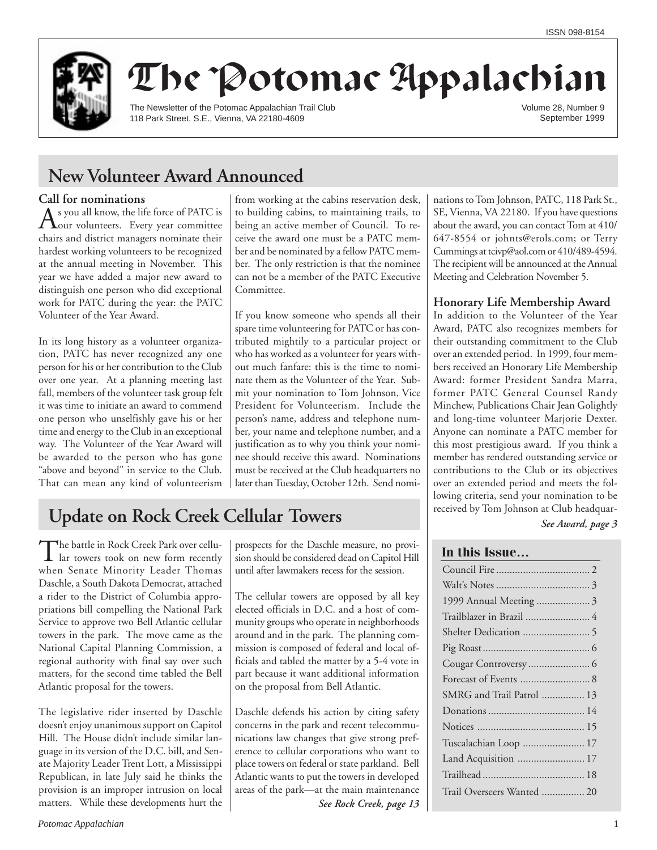

# The Potomac Appalachian

The Newsletter of the Potomac Appalachian Trail Club 118 Park Street. S.E., Vienna, VA 22180-4609

Volume 28, Number 9 September 1999

## **New Volunteer Award Announced**

**Call for nominations**<br> **A** s you all know, the life force of PATC is As you all know, the life force of PATC is<br>our volunteers. Every year committee chairs and district managers nominate their hardest working volunteers to be recognized at the annual meeting in November. This year we have added a major new award to distinguish one person who did exceptional work for PATC during the year: the PATC Volunteer of the Year Award.

In its long history as a volunteer organization, PATC has never recognized any one person for his or her contribution to the Club over one year. At a planning meeting last fall, members of the volunteer task group felt it was time to initiate an award to commend one person who unselfishly gave his or her time and energy to the Club in an exceptional way. The Volunteer of the Year Award will be awarded to the person who has gone "above and beyond" in service to the Club. That can mean any kind of volunteerism from working at the cabins reservation desk, to building cabins, to maintaining trails, to being an active member of Council. To receive the award one must be a PATC member and be nominated by a fellow PATC member. The only restriction is that the nominee can not be a member of the PATC Executive Committee.

If you know someone who spends all their spare time volunteering for PATC or has contributed mightily to a particular project or who has worked as a volunteer for years without much fanfare: this is the time to nominate them as the Volunteer of the Year. Submit your nomination to Tom Johnson, Vice President for Volunteerism. Include the person's name, address and telephone number, your name and telephone number, and a justification as to why you think your nominee should receive this award. Nominations must be received at the Club headquarters no later than Tuesday, October 12th. Send nomi-

## **Update on Rock Creek Cellular Towers**

The battle in Rock Creek Park over cellu-<br>lar towers took on new form recently when Senate Minority Leader Thomas Daschle, a South Dakota Democrat, attached a rider to the District of Columbia appropriations bill compelling the National Park Service to approve two Bell Atlantic cellular towers in the park. The move came as the National Capital Planning Commission, a regional authority with final say over such matters, for the second time tabled the Bell Atlantic proposal for the towers.

The legislative rider inserted by Daschle doesn't enjoy unanimous support on Capitol Hill. The House didn't include similar language in its version of the D.C. bill, and Senate Majority Leader Trent Lott, a Mississippi Republican, in late July said he thinks the provision is an improper intrusion on local matters. While these developments hurt the prospects for the Daschle measure, no provision should be considered dead on Capitol Hill until after lawmakers recess for the session.

The cellular towers are opposed by all key elected officials in D.C. and a host of community groups who operate in neighborhoods around and in the park. The planning commission is composed of federal and local officials and tabled the matter by a 5-4 vote in part because it want additional information on the proposal from Bell Atlantic.

Daschle defends his action by citing safety concerns in the park and recent telecommunications law changes that give strong preference to cellular corporations who want to place towers on federal or state parkland. Bell Atlantic wants to put the towers in developed areas of the park—at the main maintenance

*See Rock Creek, page 13*

nations to Tom Johnson, PATC, 118 Park St., SE, Vienna, VA 22180. If you have questions about the award, you can contact Tom at 410/ 647-8554 or johnts@erols.com; or Terry Cummings at tcivp@aol.com or 410/489-4594. The recipient will be announced at the Annual Meeting and Celebration November 5.

## **Honorary Life Membership Award**

In addition to the Volunteer of the Year Award, PATC also recognizes members for their outstanding commitment to the Club over an extended period. In 1999, four members received an Honorary Life Membership Award: former President Sandra Marra, former PATC General Counsel Randy Minchew, Publications Chair Jean Golightly and long-time volunteer Marjorie Dexter. Anyone can nominate a PATC member for this most prestigious award. If you think a member has rendered outstanding service or contributions to the Club or its objectives over an extended period and meets the following criteria, send your nomination to be received by Tom Johnson at Club headquar-

*See Award, page 3*

### **In this Issue…**

| 1999 Annual Meeting 3      |
|----------------------------|
| Trailblazer in Brazil  4   |
|                            |
|                            |
|                            |
| Forecast of Events  8      |
| SMRG and Trail Patrol  13  |
|                            |
|                            |
| Tuscalachian Loop  17      |
| Land Acquisition  17       |
|                            |
| Trail Overseers Wanted  20 |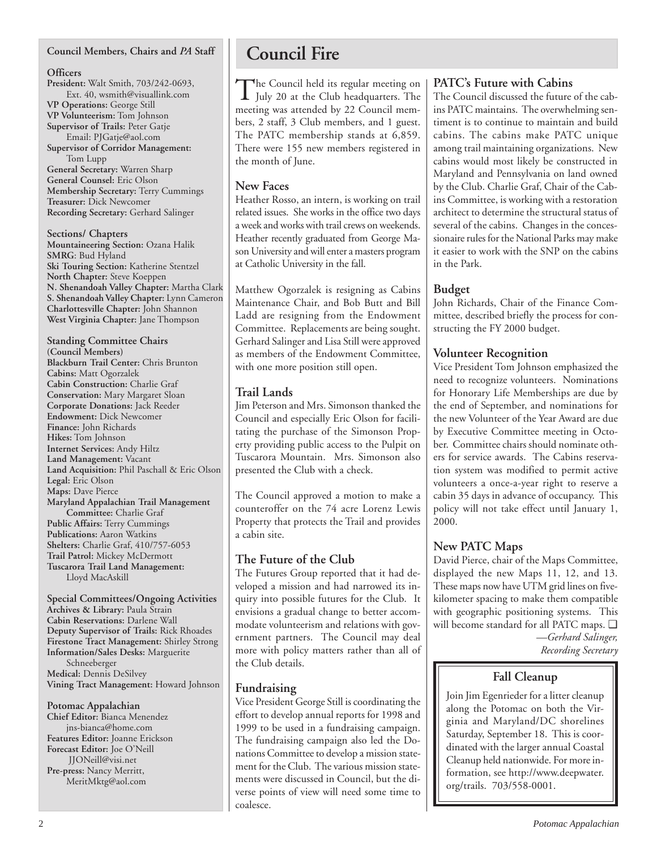## **Council Members, Chairs and** *PA* **Staff**

#### **Officers**

**President:** Walt Smith, 703/242-0693, Ext. 40, wsmith@visuallink.com **VP Operations:** George Still **VP Volunteerism:** Tom Johnson **Supervisor of Trails:** Peter Gatje Email: PJGatje@aol.com **Supervisor of Corridor Management:**

Tom Lupp **General Secretary:** Warren Sharp **General Counsel:** Eric Olson **Membership Secretary:** Terry Cummings **Treasurer:** Dick Newcomer **Recording Secretary:** Gerhard Salinger

**Sections/ Chapters Mountaineering Section:** Ozana Halik **SMRG**: Bud Hyland **Ski Touring Section:** Katherine Stentzel **North Chapter:** Steve Koeppen **N. Shenandoah Valley Chapter:** Martha Clark **S. Shenandoah Valley Chapter:** Lynn Cameron **Charlottesville Chapter:** John Shannon **West Virginia Chapter:** Jane Thompson

**Standing Committee Chairs (Council Members) Blackburn Trail Center:** Chris Brunton **Cabins:** Matt Ogorzalek **Cabin Construction:** Charlie Graf **Conservation:** Mary Margaret Sloan **Corporate Donations:** Jack Reeder **Endowment:** Dick Newcomer **Finance:** John Richards **Hikes:** Tom Johnson **Internet Services:** Andy Hiltz **Land Management:** Vacant **Land Acquisition:** Phil Paschall & Eric Olson **Legal:** Eric Olson **Maps:** Dave Pierce **Maryland Appalachian Trail Management Committee:** Charlie Graf **Public Affairs:** Terry Cummings **Publications:** Aaron Watkins **Shelters:** Charlie Graf, 410/757-6053 **Trail Patrol:** Mickey McDermott **Tuscarora Trail Land Management:** Lloyd MacAskill

**Special Committees/Ongoing Activities Archives & Library:** Paula Strain **Cabin Reservations:** Darlene Wall **Deputy Supervisor of Trails:** Rick Rhoades **Firestone Tract Management:** Shirley Strong **Information/Sales Desks:** Marguerite Schneeberger **Medical:** Dennis DeSilvey **Vining Tract Management:** Howard Johnson

**Potomac Appalachian Chief Editor:** Bianca Menendez jns-bianca@home.com **Features Editor:** Joanne Erickson **Forecast Editor:** Joe O'Neill JJONeill@visi.net **Pre-press:** Nancy Merritt, MeritMktg@aol.com

## **Council Fire**

The Council held its regular meeting on<br>July 20 at the Club headquarters. The meeting was attended by 22 Council members, 2 staff, 3 Club members, and 1 guest. The PATC membership stands at 6,859. There were 155 new members registered in the month of June.

### **New Faces**

Heather Rosso, an intern, is working on trail related issues. She works in the office two days a week and works with trail crews on weekends. Heather recently graduated from George Mason University and will enter a masters program at Catholic University in the fall.

Matthew Ogorzalek is resigning as Cabins Maintenance Chair, and Bob Butt and Bill Ladd are resigning from the Endowment Committee. Replacements are being sought. Gerhard Salinger and Lisa Still were approved as members of the Endowment Committee, with one more position still open.

## **Trail Lands**

Jim Peterson and Mrs. Simonson thanked the Council and especially Eric Olson for facilitating the purchase of the Simonson Property providing public access to the Pulpit on Tuscarora Mountain. Mrs. Simonson also presented the Club with a check.

The Council approved a motion to make a counteroffer on the 74 acre Lorenz Lewis Property that protects the Trail and provides a cabin site.

## **The Future of the Club**

The Futures Group reported that it had developed a mission and had narrowed its inquiry into possible futures for the Club. It envisions a gradual change to better accommodate volunteerism and relations with government partners. The Council may deal more with policy matters rather than all of the Club details.

### **Fundraising**

Vice President George Still is coordinating the effort to develop annual reports for 1998 and 1999 to be used in a fundraising campaign. The fundraising campaign also led the Donations Committee to develop a mission statement for the Club. The various mission statements were discussed in Council, but the diverse points of view will need some time to coalesce.

### **PATC's Future with Cabins**

The Council discussed the future of the cabins PATC maintains. The overwhelming sentiment is to continue to maintain and build cabins. The cabins make PATC unique among trail maintaining organizations. New cabins would most likely be constructed in Maryland and Pennsylvania on land owned by the Club. Charlie Graf, Chair of the Cabins Committee, is working with a restoration architect to determine the structural status of several of the cabins. Changes in the concessionaire rules for the National Parks may make it easier to work with the SNP on the cabins in the Park.

## **Budget**

John Richards, Chair of the Finance Committee, described briefly the process for constructing the FY 2000 budget.

## **Volunteer Recognition**

Vice President Tom Johnson emphasized the need to recognize volunteers. Nominations for Honorary Life Memberships are due by the end of September, and nominations for the new Volunteer of the Year Award are due by Executive Committee meeting in October. Committee chairs should nominate others for service awards. The Cabins reservation system was modified to permit active volunteers a once-a-year right to reserve a cabin 35 days in advance of occupancy. This policy will not take effect until January 1, 2000.

## **New PATC Maps**

David Pierce, chair of the Maps Committee, displayed the new Maps 11, 12, and 13. These maps now have UTM grid lines on fivekilometer spacing to make them compatible with geographic positioning systems. This will become standard for all PATC maps. ❑ *—Gerhard Salinger, Recording Secretary*

## **Fall Cleanup**

Join Jim Egenrieder for a litter cleanup along the Potomac on both the Virginia and Maryland/DC shorelines Saturday, September 18. This is coordinated with the larger annual Coastal Cleanup held nationwide. For more information, see http://www.deepwater. org/trails. 703/558-0001.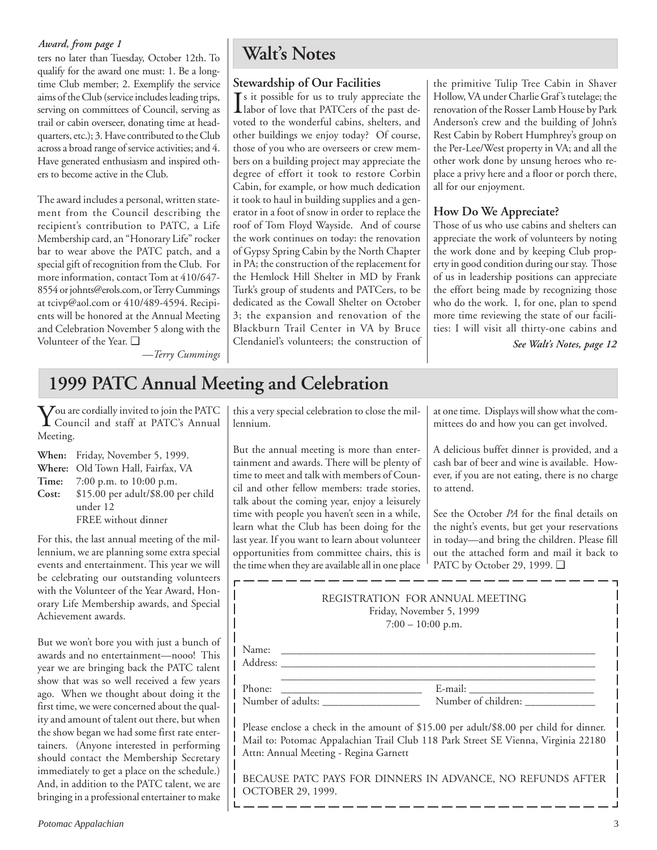### *Award, from page 1*

ters no later than Tuesday, October 12th. To qualify for the award one must: 1. Be a longtime Club member; 2. Exemplify the service aims of the Club (service includes leading trips, serving on committees of Council, serving as trail or cabin overseer, donating time at headquarters, etc.); 3. Have contributed to the Club across a broad range of service activities; and 4. Have generated enthusiasm and inspired others to become active in the Club.

The award includes a personal, written statement from the Council describing the recipient's contribution to PATC, a Life Membership card, an "Honorary Life" rocker bar to wear above the PATC patch, and a special gift of recognition from the Club. For more information, contact Tom at 410/647- 8554 or johnts@erols.com, or Terry Cummings at tcivp@aol.com or 410/489-4594. Recipients will be honored at the Annual Meeting and Celebration November 5 along with the Volunteer of the Year. ❑

*—Terry Cummings*

## **Walt's Notes**

## **Stewardship of Our Facilities**

 $\int$ s it possible for us to truly appreciate the<br>labor of love that PATCers of the past delabor of love that PATCers of the past devoted to the wonderful cabins, shelters, and other buildings we enjoy today? Of course, those of you who are overseers or crew members on a building project may appreciate the degree of effort it took to restore Corbin Cabin, for example, or how much dedication it took to haul in building supplies and a generator in a foot of snow in order to replace the roof of Tom Floyd Wayside. And of course the work continues on today: the renovation of Gypsy Spring Cabin by the North Chapter in PA; the construction of the replacement for the Hemlock Hill Shelter in MD by Frank Turk's group of students and PATCers, to be dedicated as the Cowall Shelter on October 3; the expansion and renovation of the Blackburn Trail Center in VA by Bruce Clendaniel's volunteers; the construction of the primitive Tulip Tree Cabin in Shaver Hollow, VA under Charlie Graf's tutelage; the renovation of the Rosser Lamb House by Park Anderson's crew and the building of John's Rest Cabin by Robert Humphrey's group on the Per-Lee/West property in VA; and all the other work done by unsung heroes who replace a privy here and a floor or porch there, all for our enjoyment.

## **How Do We Appreciate?**

Those of us who use cabins and shelters can appreciate the work of volunteers by noting the work done and by keeping Club property in good condition during our stay. Those of us in leadership positions can appreciate the effort being made by recognizing those who do the work. I, for one, plan to spend more time reviewing the state of our facilities: I will visit all thirty-one cabins and

*See Walt's Notes, page 12*

## **1999 PATC Annual Meeting and Celebration**

You are cordially invited to join the PATC Council and staff at PATC's Annual Meeting.

- **When:** Friday, November 5, 1999. **Where:** Old Town Hall, Fairfax, VA **Time:** 7:00 p.m. to 10:00 p.m. **Cost:** \$15.00 per adult/\$8.00 per child
	- under 12 FREE without dinner

For this, the last annual meeting of the millennium, we are planning some extra special events and entertainment. This year we will be celebrating our outstanding volunteers with the Volunteer of the Year Award, Honorary Life Membership awards, and Special Achievement awards.

But we won't bore you with just a bunch of awards and no entertainment—nooo! This year we are bringing back the PATC talent show that was so well received a few years ago. When we thought about doing it the first time, we were concerned about the quality and amount of talent out there, but when the show began we had some first rate entertainers. (Anyone interested in performing should contact the Membership Secretary immediately to get a place on the schedule.) And, in addition to the PATC talent, we are bringing in a professional entertainer to make

this a very special celebration to close the millennium.

But the annual meeting is more than entertainment and awards. There will be plenty of time to meet and talk with members of Council and other fellow members: trade stories, talk about the coming year, enjoy a leisurely time with people you haven't seen in a while, learn what the Club has been doing for the last year. If you want to learn about volunteer opportunities from committee chairs, this is the time when they are available all in one place at one time. Displays will show what the committees do and how you can get involved.

A delicious buffet dinner is provided, and a cash bar of beer and wine is available. However, if you are not eating, there is no charge to attend.

See the October *PA* for the final details on the night's events, but get your reservations in today—and bring the children. Please fill out the attached form and mail it back to PATC by October 29, 1999. ❑

| REGISTRATION FOR ANNUAL MEETING<br>Friday, November 5, 1999<br>$7:00 - 10:00$ p.m.                                                                                                                                   |                     |  |  |  |  |
|----------------------------------------------------------------------------------------------------------------------------------------------------------------------------------------------------------------------|---------------------|--|--|--|--|
| Address:                                                                                                                                                                                                             |                     |  |  |  |  |
| Phone:<br>Number of adults:                                                                                                                                                                                          | Number of children: |  |  |  |  |
| Please enclose a check in the amount of \$15.00 per adult/\$8.00 per child for dinner.<br>Mail to: Potomac Appalachian Trail Club 118 Park Street SE Vienna, Virginia 22180<br>Attn: Annual Meeting - Regina Garnett |                     |  |  |  |  |
| BECAUSE PATC PAYS FOR DINNERS IN ADVANCE, NO REFUNDS AFTER<br>OCTOBER 29, 1999.                                                                                                                                      |                     |  |  |  |  |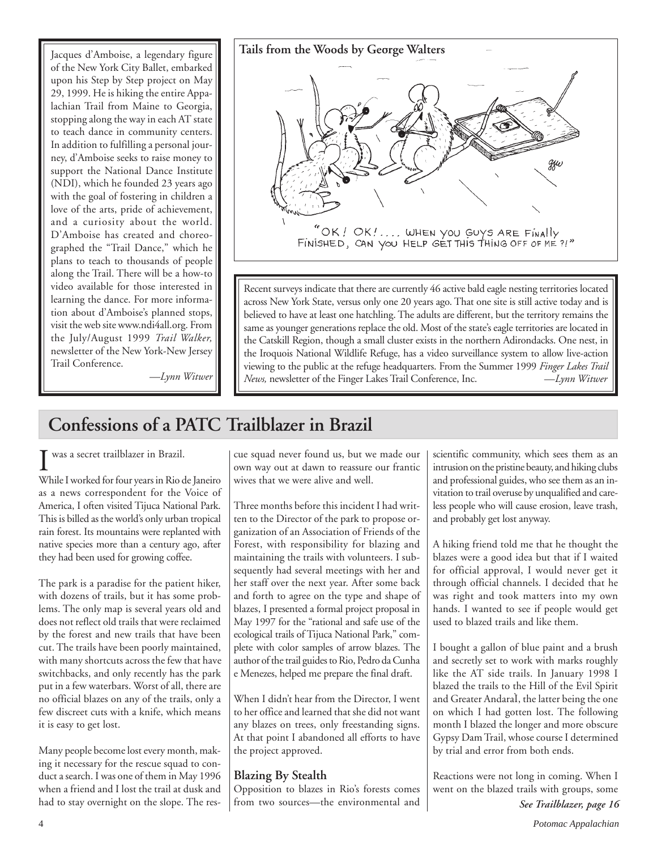of the New York City Ballet, embarked upon his Step by Step project on May 29, 1999. He is hiking the entire Appalachian Trail from Maine to Georgia, stopping along the way in each AT state to teach dance in community centers. In addition to fulfilling a personal journey, d'Amboise seeks to raise money to support the National Dance Institute (NDI), which he founded 23 years ago with the goal of fostering in children a love of the arts, pride of achievement, and a curiosity about the world. D'Amboise has created and choreographed the "Trail Dance," which he plans to teach to thousands of people along the Trail. There will be a how-to video available for those interested in learning the dance. For more information about d'Amboise's planned stops, visit the web site www.ndi4all.org. From the July/August 1999 *Trail Walker,* newsletter of the New York-New Jersey Trail Conference.



Recent surveys indicate that there are currently 46 active bald eagle nesting territories located across New York State, versus only one 20 years ago. That one site is still active today and is believed to have at least one hatchling. The adults are different, but the territory remains the same as younger generations replace the old. Most of the state's eagle territories are located in the Catskill Region, though a small cluster exists in the northern Adirondacks. One nest, in the Iroquois National Wildlife Refuge, has a video surveillance system to allow live-action viewing to the public at the refuge headquarters. From the Summer 1999 *Finger Lakes Trail News,* newsletter of the Finger Lakes Trail Conference, Inc. —*Lynn Witwer*

*—Lynn Witwer*

## **Confessions of a PATC Trailblazer in Brazil**

I While I worked for four years in Rio de Janeiro was a secret trailblazer in Brazil.

as a news correspondent for the Voice of America, I often visited Tijuca National Park. This is billed as the world's only urban tropical rain forest. Its mountains were replanted with native species more than a century ago, after they had been used for growing coffee.

The park is a paradise for the patient hiker, with dozens of trails, but it has some problems. The only map is several years old and does not reflect old trails that were reclaimed by the forest and new trails that have been cut. The trails have been poorly maintained, with many shortcuts across the few that have switchbacks, and only recently has the park put in a few waterbars. Worst of all, there are no official blazes on any of the trails, only a few discreet cuts with a knife, which means it is easy to get lost.

Many people become lost every month, making it necessary for the rescue squad to conduct a search. I was one of them in May 1996 when a friend and I lost the trail at dusk and had to stay overnight on the slope. The res-

cue squad never found us, but we made our own way out at dawn to reassure our frantic wives that we were alive and well.

Three months before this incident I had written to the Director of the park to propose organization of an Association of Friends of the Forest, with responsibility for blazing and maintaining the trails with volunteers. I subsequently had several meetings with her and her staff over the next year. After some back and forth to agree on the type and shape of blazes, I presented a formal project proposal in May 1997 for the "rational and safe use of the ecological trails of Tijuca National Park," complete with color samples of arrow blazes. The author of the trail guides to Rio, Pedro da Cunha e Menezes, helped me prepare the final draft.

When I didn't hear from the Director, I went to her office and learned that she did not want any blazes on trees, only freestanding signs. At that point I abandoned all efforts to have the project approved.

## **Blazing By Stealth**

Opposition to blazes in Rio's forests comes from two sources—the environmental and scientific community, which sees them as an intrusion on the pristine beauty, and hiking clubs and professional guides, who see them as an invitation to trail overuse by unqualified and careless people who will cause erosion, leave trash, and probably get lost anyway.

A hiking friend told me that he thought the blazes were a good idea but that if I waited for official approval, I would never get it through official channels. I decided that he was right and took matters into my own hands. I wanted to see if people would get used to blazed trails and like them.

I bought a gallon of blue paint and a brush and secretly set to work with marks roughly like the AT side trails. In January 1998 I blazed the trails to the Hill of the Evil Spirit and Greater AndaraÌ, the latter being the one on which I had gotten lost. The following month I blazed the longer and more obscure Gypsy Dam Trail, whose course I determined by trial and error from both ends.

Reactions were not long in coming. When I went on the blazed trails with groups, some *See Trailblazer, page 16*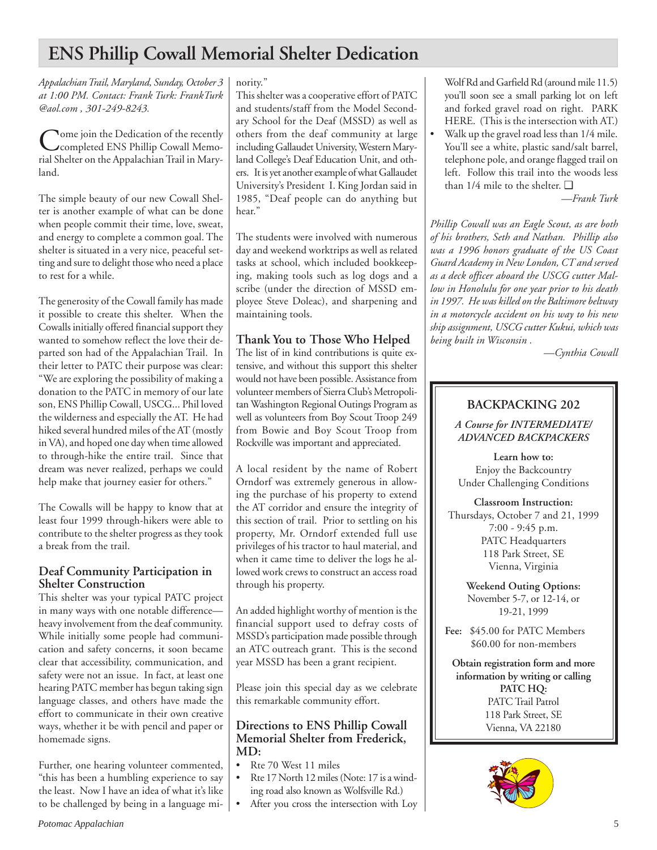## **ENS Phillip Cowall Memorial Shelter Dedication**

*Appalachian Trail, Maryland, Sunday, October 3 at 1:00 PM. Contact: Frank Turk: FrankTurk @aol.com , 301-249-8243.*

Come join the Dedication of the recently<br>completed ENS Phillip Cowall Memorial Shelter on the Appalachian Trail in Maryland.

The simple beauty of our new Cowall Shelter is another example of what can be done when people commit their time, love, sweat, and energy to complete a common goal. The shelter is situated in a very nice, peaceful setting and sure to delight those who need a place to rest for a while.

The generosity of the Cowall family has made it possible to create this shelter. When the Cowalls initially offered financial support they wanted to somehow reflect the love their departed son had of the Appalachian Trail. In their letter to PATC their purpose was clear: "We are exploring the possibility of making a donation to the PATC in memory of our late son, ENS Phillip Cowall, USCG... Phil loved the wilderness and especially the AT. He had hiked several hundred miles of the AT (mostly in VA), and hoped one day when time allowed to through-hike the entire trail. Since that dream was never realized, perhaps we could help make that journey easier for others."

The Cowalls will be happy to know that at least four 1999 through-hikers were able to contribute to the shelter progress as they took a break from the trail.

### **Deaf Community Participation in Shelter Construction**

This shelter was your typical PATC project in many ways with one notable difference heavy involvement from the deaf community. While initially some people had communication and safety concerns, it soon became clear that accessibility, communication, and safety were not an issue. In fact, at least one hearing PATC member has begun taking sign language classes, and others have made the effort to communicate in their own creative ways, whether it be with pencil and paper or homemade signs.

Further, one hearing volunteer commented, "this has been a humbling experience to say the least. Now I have an idea of what it's like to be challenged by being in a language minority."

This shelter was a cooperative effort of PATC and students/staff from the Model Secondary School for the Deaf (MSSD) as well as others from the deaf community at large including Gallaudet University, Western Maryland College's Deaf Education Unit, and others. It is yet another example of what Gallaudet University's President I. King Jordan said in 1985, "Deaf people can do anything but hear."

The students were involved with numerous day and weekend worktrips as well as related tasks at school, which included bookkeeping, making tools such as log dogs and a scribe (under the direction of MSSD employee Steve Doleac), and sharpening and maintaining tools.

## **Thank You to Those Who Helped**

The list of in kind contributions is quite extensive, and without this support this shelter would not have been possible. Assistance from volunteer members of Sierra Club's Metropolitan Washington Regional Outings Program as well as volunteers from Boy Scout Troop 249 from Bowie and Boy Scout Troop from Rockville was important and appreciated.

A local resident by the name of Robert Orndorf was extremely generous in allowing the purchase of his property to extend the AT corridor and ensure the integrity of this section of trail. Prior to settling on his property, Mr. Orndorf extended full use privileges of his tractor to haul material, and when it came time to deliver the logs he allowed work crews to construct an access road through his property.

An added highlight worthy of mention is the financial support used to defray costs of MSSD's participation made possible through an ATC outreach grant. This is the second year MSSD has been a grant recipient.

Please join this special day as we celebrate this remarkable community effort.

### **Directions to ENS Phillip Cowall Memorial Shelter from Frederick, MD:**

- Rte 70 West 11 miles
- Rte 17 North 12 miles (Note: 17 is a winding road also known as Wolfsville Rd.)
- After you cross the intersection with Loy

Wolf Rd and Garfield Rd (around mile 11.5) you'll soon see a small parking lot on left and forked gravel road on right. PARK HERE. (This is the intersection with AT.)

Walk up the gravel road less than  $1/4$  mile. You'll see a white, plastic sand/salt barrel, telephone pole, and orange flagged trail on left. Follow this trail into the woods less than 1/4 mile to the shelter. ❑

*—Frank Turk*

*Phillip Cowall was an Eagle Scout, as are both of his brothers, Seth and Nathan. Phillip also was a 1996 honors graduate of the US Coast Guard Academy in New London, CT and served as a deck officer aboard the USCG cutter Mallow in Honolulu for one year prior to his death in 1997. He was killed on the Baltimore beltway in a motorcycle accident on his way to his new ship assignment, USCG cutter Kukui, which was being built in Wisconsin .*

*—Cynthia Cowall*

## **BACKPACKING 202**

*A Course for INTERMEDIATE/ ADVANCED BACKPACKERS*

**Learn how to:** Enjoy the Backcountry Under Challenging Conditions

**Classroom Instruction:** Thursdays, October 7 and 21, 1999 7:00 - 9:45 p.m. PATC Headquarters 118 Park Street, SE Vienna, Virginia

> **Weekend Outing Options:** November 5-7, or 12-14, or 19-21, 1999

**Fee:** \$45.00 for PATC Members \$60.00 for non-members

**Obtain registration form and more information by writing or calling PATC HQ:** PATC Trail Patrol 118 Park Street, SE Vienna, VA 22180

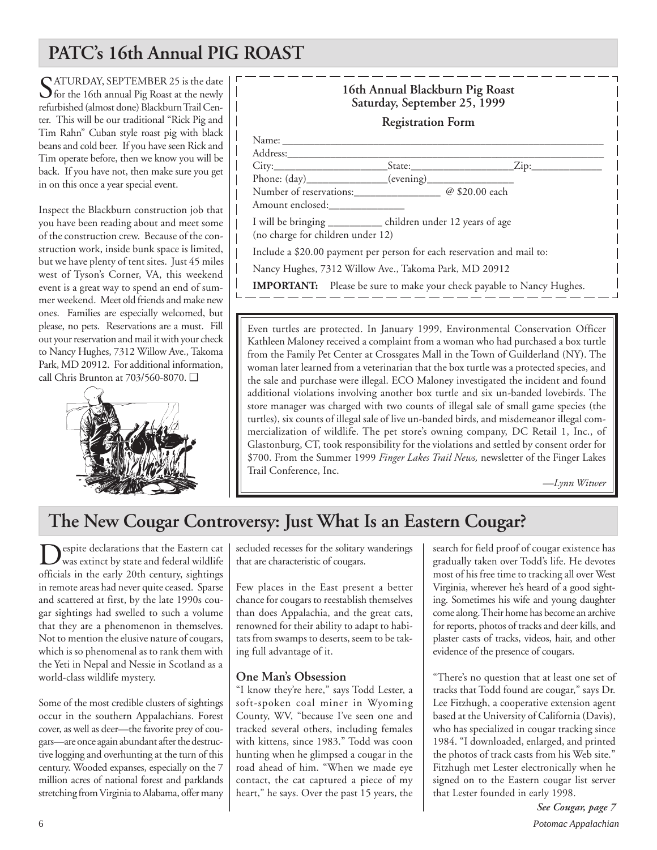## **PATC's 16th Annual PIG ROAST**

SATURDAY, SEPTEMBER 25 is the date for the 16th annual Pig Roast at the newly refurbished (almost done) Blackburn Trail Center. This will be our traditional "Rick Pig and Tim Rahn" Cuban style roast pig with black beans and cold beer. If you have seen Rick and Tim operate before, then we know you will be back. If you have not, then make sure you get in on this once a year special event.

Inspect the Blackburn construction job that you have been reading about and meet some of the construction crew. Because of the construction work, inside bunk space is limited, but we have plenty of tent sites. Just 45 miles west of Tyson's Corner, VA, this weekend event is a great way to spend an end of summer weekend. Meet old friends and make new ones. Families are especially welcomed, but please, no pets. Reservations are a must. Fill out your reservation and mail it with your check to Nancy Hughes, 7312 Willow Ave., Takoma Park, MD 20912. For additional information, call Chris Brunton at 703/560-8070. ❑





Even turtles are protected. In January 1999, Environmental Conservation Officer Kathleen Maloney received a complaint from a woman who had purchased a box turtle from the Family Pet Center at Crossgates Mall in the Town of Guilderland (NY). The woman later learned from a veterinarian that the box turtle was a protected species, and the sale and purchase were illegal. ECO Maloney investigated the incident and found additional violations involving another box turtle and six un-banded lovebirds. The store manager was charged with two counts of illegal sale of small game species (the turtles), six counts of illegal sale of live un-banded birds, and misdemeanor illegal commercialization of wildlife. The pet store's owning company, DC Retail 1, Inc., of Glastonburg, CT, took responsibility for the violations and settled by consent order for \$700. From the Summer 1999 *Finger Lakes Trail News,* newsletter of the Finger Lakes Trail Conference, Inc.

*—Lynn Witwer*

## **The New Cougar Controversy: Just What Is an Eastern Cougar?**

 $\sum_{\text{Was}}$  expite declarations that the Eastern cat<br>wildlife officials in the early 20th century, sightings in remote areas had never quite ceased. Sparse and scattered at first, by the late 1990s cougar sightings had swelled to such a volume that they are a phenomenon in themselves. Not to mention the elusive nature of cougars, which is so phenomenal as to rank them with the Yeti in Nepal and Nessie in Scotland as a world-class wildlife mystery.

Some of the most credible clusters of sightings occur in the southern Appalachians. Forest cover, as well as deer—the favorite prey of cougars—are once again abundant after the destructive logging and overhunting at the turn of this century. Wooded expanses, especially on the 7 million acres of national forest and parklands stretching from Virginia to Alabama, offer many

secluded recesses for the solitary wanderings that are characteristic of cougars.

Few places in the East present a better chance for cougars to reestablish themselves than does Appalachia, and the great cats, renowned for their ability to adapt to habitats from swamps to deserts, seem to be taking full advantage of it.

## **One Man's Obsession**

"I know they're here," says Todd Lester, a soft-spoken coal miner in Wyoming County, WV, "because I've seen one and tracked several others, including females with kittens, since 1983." Todd was coon hunting when he glimpsed a cougar in the road ahead of him. "When we made eye contact, the cat captured a piece of my heart," he says. Over the past 15 years, the

search for field proof of cougar existence has gradually taken over Todd's life. He devotes most of his free time to tracking all over West Virginia, wherever he's heard of a good sighting. Sometimes his wife and young daughter come along. Their home has become an archive for reports, photos of tracks and deer kills, and plaster casts of tracks, videos, hair, and other evidence of the presence of cougars.

"There's no question that at least one set of tracks that Todd found are cougar," says Dr. Lee Fitzhugh, a cooperative extension agent based at the University of California (Davis), who has specialized in cougar tracking since 1984. "I downloaded, enlarged, and printed the photos of track casts from his Web site." Fitzhugh met Lester electronically when he signed on to the Eastern cougar list server that Lester founded in early 1998.

6 *Potomac Appalachian See Cougar, page 7*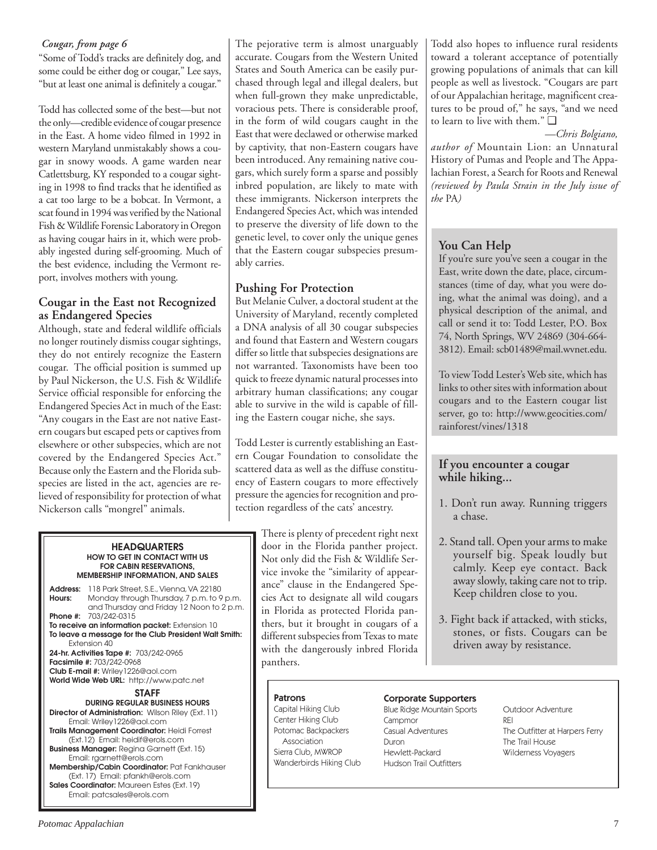### *Cougar, from page 6*

"Some of Todd's tracks are definitely dog, and some could be either dog or cougar," Lee says, "but at least one animal is definitely a cougar."

Todd has collected some of the best—but not the only—credible evidence of cougar presence in the East. A home video filmed in 1992 in western Maryland unmistakably shows a cougar in snowy woods. A game warden near Catlettsburg, KY responded to a cougar sighting in 1998 to find tracks that he identified as a cat too large to be a bobcat. In Vermont, a scat found in 1994 was verified by the National Fish & Wildlife Forensic Laboratory in Oregon as having cougar hairs in it, which were probably ingested during self-grooming. Much of the best evidence, including the Vermont report, involves mothers with young.

### **Cougar in the East not Recognized as Endangered Species**

Although, state and federal wildlife officials no longer routinely dismiss cougar sightings, they do not entirely recognize the Eastern cougar. The official position is summed up by Paul Nickerson, the U.S. Fish & Wildlife Service official responsible for enforcing the Endangered Species Act in much of the East: "Any cougars in the East are not native Eastern cougars but escaped pets or captives from elsewhere or other subspecies, which are not covered by the Endangered Species Act." Because only the Eastern and the Florida subspecies are listed in the act, agencies are relieved of responsibility for protection of what Nickerson calls "mongrel" animals.

#### **HEADQUARTERS HOW TO GET IN CONTACT WITH US FOR CABIN RESERVATIONS, MEMBERSHIP INFORMATION, AND SALES**

**Address:** 118 Park Street, S.E., Vienna, VA 22180 **Hours:** Monday through Thursday, 7 p.m. to 9 p.m. and Thursday and Friday 12 Noon to 2 p.m. **Phone #:** 703/242-0315 **To receive an information packet:** Extension 10 **To leave a message for the Club President Walt Smith:** Extension 40 **24-hr. Activities Tape #:** 703/242-0965 **Facsimile #:** 703/242-0968 **Club E-mail #:** Wriley1226@aol.com **World Wide Web URL:** http://www.patc.net **STAFF DURING REGULAR BUSINESS HOURS Director of Administration:** Wilson Riley (Ext. 11)

Email: Wriley1226@aol.com **Trails Management Coordinator:** Heidi Forrest (Ext.12) Email: heidif@erols.com **Business Manager:** Regina Garnett (Ext. 15) Email: rgarnett@erols.com **Membership/Cabin Coordinator:** Pat Fankhauser (Ext. 17) Email: pfankh@erols.com **Sales Coordinator:** Maureen Estes (Ext. 19) Email: patcsales@erols.com

The pejorative term is almost unarguably accurate. Cougars from the Western United States and South America can be easily purchased through legal and illegal dealers, but when full-grown they make unpredictable, voracious pets. There is considerable proof, in the form of wild cougars caught in the East that were declawed or otherwise marked by captivity, that non-Eastern cougars have been introduced. Any remaining native cougars, which surely form a sparse and possibly inbred population, are likely to mate with these immigrants. Nickerson interprets the Endangered Species Act, which was intended to preserve the diversity of life down to the genetic level, to cover only the unique genes that the Eastern cougar subspecies presumably carries.

## **Pushing For Protection**

But Melanie Culver, a doctoral student at the University of Maryland, recently completed a DNA analysis of all 30 cougar subspecies and found that Eastern and Western cougars differ so little that subspecies designations are not warranted. Taxonomists have been too quick to freeze dynamic natural processes into arbitrary human classifications; any cougar able to survive in the wild is capable of filling the Eastern cougar niche, she says.

Todd Lester is currently establishing an Eastern Cougar Foundation to consolidate the scattered data as well as the diffuse constituency of Eastern cougars to more effectively pressure the agencies for recognition and protection regardless of the cats' ancestry.

> There is plenty of precedent right next door in the Florida panther project. Not only did the Fish & Wildlife Service invoke the "similarity of appearance" clause in the Endangered Species Act to designate all wild cougars in Florida as protected Florida panthers, but it brought in cougars of a different subspecies from Texas to mate with the dangerously inbred Florida panthers.

Todd also hopes to influence rural residents toward a tolerant acceptance of potentially growing populations of animals that can kill people as well as livestock. "Cougars are part of our Appalachian heritage, magnificent creatures to be proud of," he says, "and we need to learn to live with them." ❑

*—Chris Bolgiano, author of* Mountain Lion: an Unnatural History of Pumas and People and The Appalachian Forest, a Search for Roots and Renewal *(reviewed by Paula Strain in the July issue of the* PA*)*

## **You Can Help**

If you're sure you've seen a cougar in the East, write down the date, place, circumstances (time of day, what you were doing, what the animal was doing), and a physical description of the animal, and call or send it to: Todd Lester, P.O. Box 74, North Springs, WV 24869 (304-664- 3812). Email: scb01489@mail.wvnet.edu.

To view Todd Lester's Web site, which has links to other sites with information about cougars and to the Eastern cougar list server, go to: http://www.geocities.com/ rainforest/vines/1318

## **If you encounter a cougar while hiking...**

- 1. Don't run away. Running triggers a chase.
- 2. Stand tall. Open your arms to make yourself big. Speak loudly but calmly. Keep eye contact. Back away slowly, taking care not to trip. Keep children close to you.
- 3. Fight back if attacked, with sticks, stones, or fists. Cougars can be driven away by resistance.

## **Patrons**

Capital Hiking Club Center Hiking Club Potomac Backpackers Association Sierra Club, MWROP Wanderbirds Hiking Club

## Corporate Supporters

Blue Ridge Mountain Sports **Campmor** Casual Adventures Duron Hewlett-Packard Hudson Trail Outfitters

Outdoor Adventure REI The Outfitter at Harpers Ferry The Trail House Wilderness Voyagers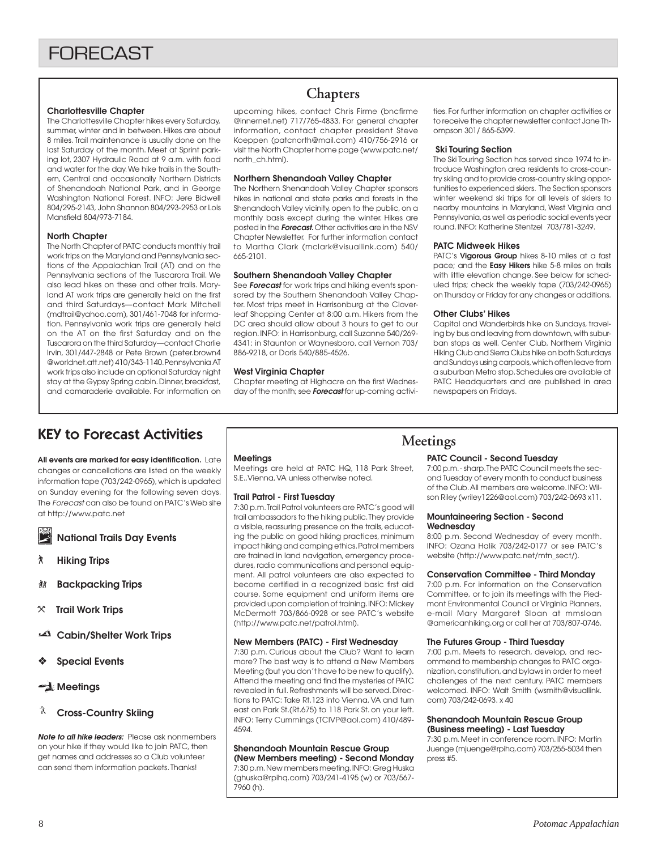#### **Charlottesville Chapter**

The Charlottesville Chapter hikes every Saturday, summer, winter and in between. Hikes are about 8 miles. Trail maintenance is usually done on the last Saturday of the month. Meet at Sprint parking lot, 2307 Hydraulic Road at 9 a.m. with food and water for the day. We hike trails in the Southern, Central and occasionally Northern Districts of Shenandoah National Park, and in George Washington National Forest. INFO: Jere Bidwell 804/295-2143, John Shannon 804/293-2953 or Lois Mansfield 804/973-7184.

#### **North Chapter**

The North Chapter of PATC conducts monthly trail work trips on the Maryland and Pennsylvania sections of the Appalachian Trail (AT) and on the Pennsylvania sections of the Tuscarora Trail. We also lead hikes on these and other trails. Maryland AT work trips are generally held on the first and third Saturdays—contact Mark Mitchell (mdtrail@yahoo.com), 301/461-7048 for information. Pennsylvania work trips are generally held on the AT on the first Saturday and on the Tuscarora on the third Saturday—contact Charlie Irvin, 301/447-2848 or Pete Brown (peter.brown4 @worldnet.att.net) 410/343-1140. Pennsylvania AT work trips also include an optional Saturday night stay at the Gypsy Spring cabin. Dinner, breakfast, and camaraderie available. For information on

## **Chapters**

upcoming hikes, contact Chris Firme (bncfirme @innernet.net) 717/765-4833. For general chapter information, contact chapter president Steve Koeppen (patcnorth@mail.com) 410/756-2916 or visit the North Chapter home page (www.patc.net/ north\_ch.html).

#### **Northern Shenandoah Valley Chapter**

The Northern Shenandoah Valley Chapter sponsors hikes in national and state parks and forests in the Shenandoah Valley vicinity, open to the public, on a monthly basis except during the winter. Hikes are posted in the **Forecast.** Other activities are in the NSV Chapter Newsletter. For further information contact to Martha Clark (mclark@visuallink.com) 540/ 665-2101.

#### **Southern Shenandoah Valley Chapter**

See **Forecast** for work trips and hiking events sponsored by the Southern Shenandoah Valley Chapter. Most trips meet in Harrisonburg at the Cloverleaf Shopping Center at 8:00 a.m. Hikers from the DC area should allow about 3 hours to get to our region. INFO: in Harrisonburg, call Suzanne 540/269- 4341; in Staunton or Waynesboro, call Vernon 703/ 886-9218, or Doris 540/885-4526.

#### **West Virginia Chapter**

Chapter meeting at Highacre on the first Wednesday of the month; see **Forecast** for up-coming activities. For further information on chapter activities or to receive the chapter newsletter contact Jane Thompson 301/ 865-5399.

#### **Ski Touring Section**

The Ski Touring Section has served since 1974 to introduce Washington area residents to cross-country skiing and to provide cross-country skiing opportunities to experienced skiers. The Section sponsors winter weekend ski trips for all levels of skiers to nearby mountains in Maryland, West Virginia and Pennsylvania, as well as periodic social events year round. INFO: Katherine Stentzel 703/781-3249.

#### **PATC Midweek Hikes**

PATC's **Vigorous Group** hikes 8-10 miles at a fast pace; and the **Easy Hikers** hike 5-8 miles on trails with little elevation change. See below for scheduled trips; check the weekly tape (703/242-0965) on Thursday or Friday for any changes or additions.

#### **Other Clubs' Hikes**

Capital and Wanderbirds hike on Sundays, traveling by bus and leaving from downtown, with suburban stops as well. Center Club, Northern Virginia Hiking Club and Sierra Clubs hike on both Saturdays and Sundays using carpools, which often leave from a suburban Metro stop. Schedules are available at PATC Headquarters and are published in area newspapers on Fridays.

## KEY to Forecast Activities

**All events are marked for easy identification.** Late changes or cancellations are listed on the weekly information tape (703/242-0965), which is updated on Sunday evening for the following seven days. The Forecast can also be found on PATC's Web site at http://www.patc.net

**National Trails Day Events**

- ` **Hiking Trips**
- **然 Backpacking Trips**
- } **Trail Work Trips**
- **Cabin/Shelter Work Trips**
- ❖ **Special Events**

### **Meetings**

**Cross-Country Skiing**

**Note to all hike leaders:** Please ask nonmembers on your hike if they would like to join PATC, then get names and addresses so a Club volunteer can send them information packets. Thanks!

#### **Meetings**

Meetings are held at PATC HQ, 118 Park Street, S.E.,Vienna, VA unless otherwise noted.

#### **Trail Patrol - First Tuesday**

7:30 p.m. Trail Patrol volunteers are PATC's good will trail ambassadors to the hiking public. They provide a visible, reassuring presence on the trails, educating the public on good hiking practices, minimum impact hiking and camping ethics. Patrol members are trained in land navigation, emergency procedures, radio communications and personal equipment. All patrol volunteers are also expected to become certified in a recognized basic first aid course. Some equipment and uniform items are provided upon completion of training. INFO: Mickey McDermott 703/866-0928 or see PATC's website (http://www.patc.net/patrol.html).

#### **New Members (PATC) - First Wednesday**

7:30 p.m. Curious about the Club? Want to learn more? The best way is to attend a New Members Meeting (but you don't have to be new to qualify). Attend the meeting and find the mysteries of PATC revealed in full. Refreshments will be served. Directions to PATC: Take Rt.123 into Vienna, VA and turn east on Park St.(Rt.675) to 118 Park St. on your left. INFO: Terry Cummings (TCIVP@aol.com) 410/489- 4594.

#### **Shenandoah Mountain Rescue Group (New Members meeting) - Second Monday**

7:30 p.m. New members meeting. INFO: Greg Huska (ghuska@rpihq.com) 703/241-4195 (w) or 703/567- 7960 (h).

## **Meetings**

#### **PATC Council - Second Tuesday**

7:00 p.m. - sharp. The PATC Council meets the second Tuesday of every month to conduct business of the Club. All members are welcome. INFO: Wilson Riley (wriley1226@aol.com) 703/242-0693 x11.

#### **Mountaineering Section - Second Wednesday**

8:00 p.m. Second Wednesday of every month. INFO: Ozana Halik 703/242-0177 or see PATC's website (http://www.patc.net/mtn\_sect/).

#### **Conservation Committee - Third Monday**

7:00 p.m. For information on the Conservation Committee, or to join its meetings with the Piedmont Environmental Council or Virginia Planners, e-mail Mary Margaret Sloan at mmsloan @americanhiking.org or call her at 703/807-0746.

#### **The Futures Group - Third Tuesday**

7:00 p.m. Meets to research, develop, and recommend to membership changes to PATC organization, constitution, and bylaws in order to meet challenges of the next century. PATC members welcomed. INFO: Walt Smith (wsmith@visuallink. com) 703/242-0693. x 40

#### **Shenandoah Mountain Rescue Group (Business meeting) - Last Tuesday**

7:30 p.m. Meet in conference room. INFO: Martin Juenge (mjuenge@rpihq.com) 703/255-5034 then press #5.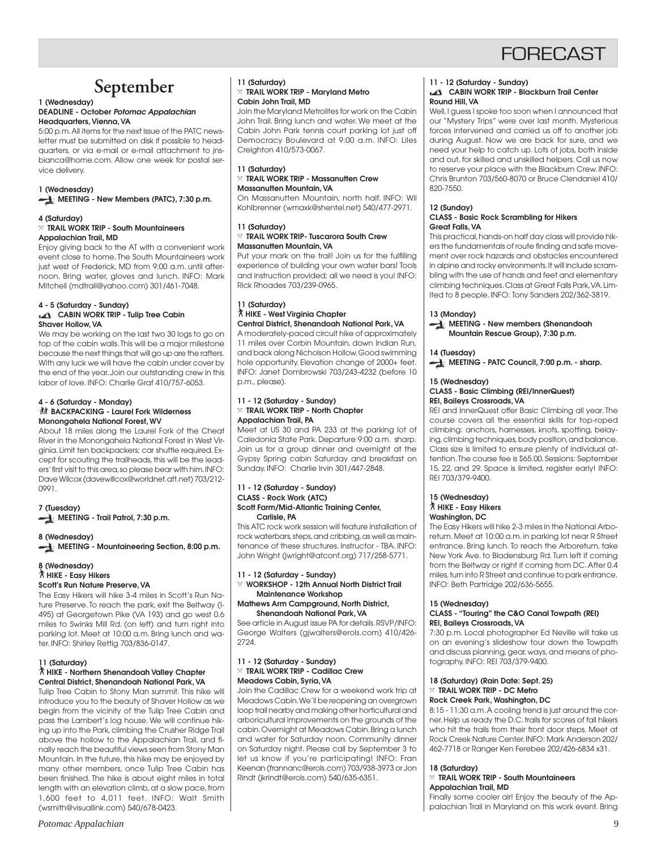

## **September**

#### **1 (Wednesday) DEADLINE - October Potomac Appalachian Headquarters, Vienna, VA**

5:00 p.m. All items for the next issue of the PATC newsletter must be submitted on disk if possible to headquarters, or via e-mail or e-mail attachment to jnsbianca@home.com. Allow one week for postal service delivery.

#### **1 (Wednesday)**

**MEETING - New Members (PATC), 7:30 p.m.**

#### **4 (Saturday)**

#### } **TRAIL WORK TRIP - South Mountaineers Appalachian Trail, MD**

Enjoy giving back to the AT with a convenient work event close to home. The South Mountaineers work just west of Frederick, MD from 9:00 a.m. until afternoon. Bring water, gloves and lunch. INFO: Mark Mitchell (mdtrail@yahoo.com) 301/461-7048.

#### **4 - 5 (Saturday - Sunday) CABIN WORK TRIP - Tulip Tree Cabin Shaver Hollow, VA**

We may be working on the last two 30 logs to go on top of the cabin walls. This will be a major milestone because the next things that will go up are the rafters. With any luck we will have the cabin under cover by the end of the year. Join our outstanding crew in this labor of love. INFO: Charlie Graf 410/757-6053.

#### **4 - 6 (Saturday - Monday) KX BACKPACKING - Laurel Fork Wilderness Monongahela National Forest, WV**

About 18 miles along the Laurel Fork of the Cheat River in the Monongahela National Forest in West Virginia. Limit ten backpackers; car shuttle required. Except for scouting the trailheads, this will be the leaders' first visit to this area, so please bear with him. INFO: Dave Wilcox (davewillcox@worldnet.att.net) 703/212- 0991.

#### **7 (Tuesday) MEETING - Trail Patrol, 7:30 p.m.**

**8 (Wednesday) MEETING - Mountaineering Section, 8:00 p.m.**

#### **8 (Wednesday)** ` **HIKE - Easy Hikers Scott's Run Nature Preserve, VA**

The Easy Hikers will hike 3-4 miles in Scott's Run Nature Preserve. To reach the park, exit the Beltway (I-495) at Georgetown Pike (VA 193) and go west 0.6 miles to Swinks Mill Rd. (on left) and turn right into parking lot. Meet at 10:00 a.m. Bring lunch and water. INFO: Shirley Rettig 703/836-0147.

#### **11 (Saturday)** ` **HIKE - Northern Shenandoah Valley Chapter Central District, Shenandoah National Park, VA**

Tulip Tree Cabin to Stony Man summit. This hike will introduce you to the beauty of Shaver Hollow as we begin from the vicinity of the Tulip Tree Cabin and pass the Lambert's log house. We will continue hiking up into the Park, climbing the Crusher Ridge Trail above the hollow to the Appalachian Trail, and finally reach the beautiful views seen from Stony Man Mountain. In the future, this hike may be enjoyed by many other members, once Tulip Tree Cabin has been finished. The hike is about eight miles in total length with an elevation climb, at a slow pace, from 1,600 feet to 4,011 feet. INFO: Walt Smith (wsmith@visuallink.com) 540/678-0423.

#### **11 (Saturday)** } **TRAIL WORK TRIP - Maryland Metro Cabin John Trail, MD**

Join the Maryland Metrolites for work on the Cabin John Trail. Bring lunch and water. We meet at the Cabin John Park tennis court parking lot just off Democracy Boulevard at 9:00 a.m. INFO: Liles Creighton 410/573-0067.

#### **11 (Saturday)** } **TRAIL WORK TRIP - Massanutten Crew Massanutten Mountain, VA**

On Massanutten Mountain, north half. INFO: Wil Kohlbrenner (wmaxk@shentel.net) 540/477-2971.

#### **11 (Saturday)**

#### } **TRAIL WORK TRIP- Tuscarora South Crew Massanutten Mountain, VA**

Put your mark on the trail! Join us for the fulfilling experience of building your own water bars! Tools and instruction provided; all we need is you! INFO: Rick Rhoades 703/239-0965.

#### **11 (Saturday)** ` **HIKE - West Virginia Chapter Central District, Shenandoah National Park, VA**

A moderately-paced circuit hike of approximately 11 miles over Corbin Mountain, down Indian Run, and back along Nicholson Hollow. Good swimming hole opportunity. Elevation change of 2000+ feet. INFO: Janet Dombrowski 703/243-4232 (before 10 p.m., please).

#### **11 - 12 (Saturday - Sunday)** } **TRAIL WORK TRIP - North Chapter Appalachian Trail, PA**

Meet at US 30 and PA 233 at the parking lot of Caledonia State Park. Departure 9:00 a.m. sharp. Join us for a group dinner and overnight at the Gypsy Spring cabin Saturday and breakfast on Sunday. INFO: Charlie Irvin 301/447-2848.

#### **11 - 12 (Saturday - Sunday) CLASS - Rock Work (ATC) Scott Farm/Mid-Atlantic Training Center, Carlisle, PA**

This ATC rock work session will feature installation of rock waterbars, steps, and cribbing, as well as maintenance of these structures. Instructor - TBA. INFO: John Wright (jwright@atconf.org) 717/258-5771.

## **11 - 12 (Saturday - Sunday)**

} **WORKSHOP - 12th Annual North District Trail Maintenance Workshop**

#### **Mathews Arm Campground, North District, Shenandoah National Park, VA**

See article in August issue PA for details. RSVP/INFO: George Walters (gjwalters@erols.com) 410/426- 2724.

#### **11 - 12 (Saturday - Sunday)** } **TRAIL WORK TRIP - Cadillac Crew Meadows Cabin, Syria, VA**

Join the Cadillac Crew for a weekend work trip at Meadows Cabin. We'll be reopening an overgrown loop trail nearby and making other horticultural and arboricultural improvements on the grounds of the cabin. Overnight at Meadows Cabin. Bring a lunch and water for Saturday noon. Community dinner on Saturday night. Please call by September 3 to let us know if you're participating! INFO: Fran Keenan (frannanc@erols.com) 703/938-3973 or Jon Rindt (jkrindt@erols.com) 540/635-6351.

#### **11 - 12 (Saturday - Sunday)**

#### **CABIN WORK TRIP - Blackburn Trail Center Round Hill, VA**

Well, I guess I spoke too soon when I announced that our "Mystery Trips" were over last month. Mysterious forces intervened and carried us off to another job during August. Now we are back for sure, and we need your help to catch up. Lots of jobs, both inside and out, for skilled and unskilled helpers. Call us now to reserve your place with the Blackburn Crew. INFO: Chris Brunton 703/560-8070 or Bruce Clendaniel 410/ 820-7550.

#### **12 (Sunday)**

#### **CLASS - Basic Rock Scrambling for Hikers Great Falls, VA**

This practical, hands-on half day class will provide hikers the fundamentals of route finding and safe movement over rock hazards and obstacles encountered in alpine and rocky environments. It will include scrambling with the use of hands and feet and elementary climbing techniques. Class at Great Falls Park, VA. Limited to 8 people. INFO: Tony Sanders 202/362-3819.

#### **13 (Monday)**

**MEETING - New members (Shenandoah Mountain Rescue Group), 7:30 p.m.**

## **14 (Tuesday)**

**MEETING - PATC Council, 7:00 p.m. - sharp.**

## **15 (Wednesday)**

#### **CLASS - Basic Climbing (REI/InnerQuest) REI, Baileys Crossroads, VA**

REI and InnerQuest offer Basic Climbing all year. The course covers all the essential skills for top-roped climbing: anchors, harnesses, knots, spotting, belaying, climbing techniques, body position, and balance. Class size is limited to ensure plenty of individual attention. The course fee is \$65.00. Sessions: September 15, 22, and 29. Space is limited, register early! INFO: REI 703/379-9400.

#### **15 (Wednesday)** ` **HIKE - Easy Hikers Washington, DC**

The Easy Hikers will hike 2-3 miles in the National Arboretum. Meet at 10:00 a.m. in parking lot near R Street entrance. Bring lunch. To reach the Arboretum, take New York Ave. to Bladensburg Rd. Turn left if coming from the Beltway or right if coming from DC. After 0.4 miles, turn into R Street and continue to park entrance. INFO: Beth Partridge 202/636-5655.

#### **15 (Wednesday)**

#### **CLASS - "Touring" the C&O Canal Towpath (REI) REI, Baileys Crossroads, VA**

7:30 p.m. Local photographer Ed Neville will take us on an evening's slideshow tour down the Towpath and discuss planning, gear, ways, and means of photography. INFO: REI 703/379-9400.

#### **18 (Saturday) (Rain Date: Sept. 25)** } **TRAIL WORK TRIP - DC Metro Rock Creek Park, Washington, DC**

8:15 - 11:30 a.m. A cooling trend is just around the corner. Help us ready the D.C. trails for scores of fall hikers who hit the trails from their front door steps. Meet at Rock Creek Nature Center. INFO: Mark Anderson 202/ 462-7718 or Ranger Ken Ferebee 202/426-6834 x31.

#### **18 (Saturday)**

#### } **TRAIL WORK TRIP - South Mountaineers Appalachian Trail, MD**

Finally some cooler air! Enjoy the beauty of the Appalachian Trail in Maryland on this work event. Bring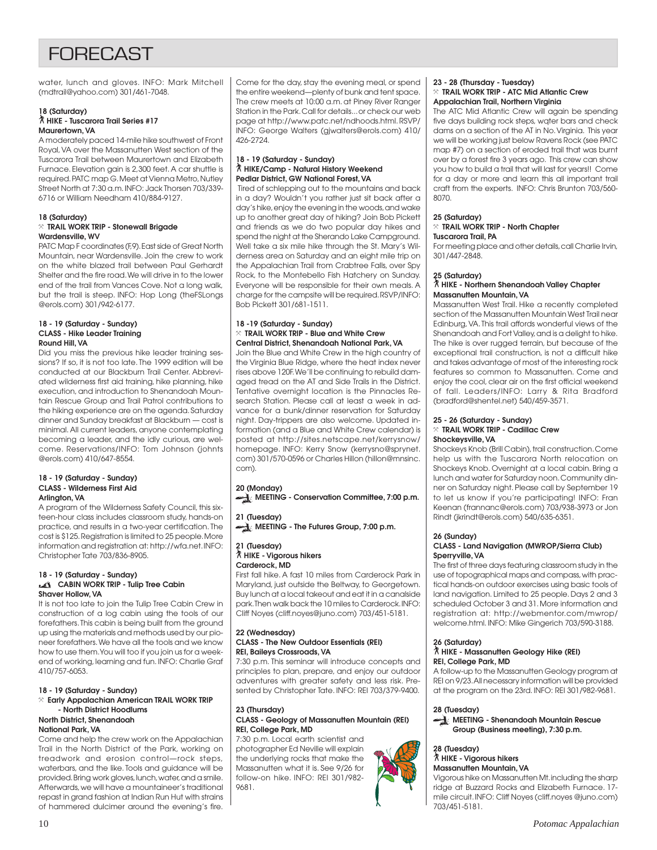## FORECAST

water, lunch and gloves. INFO: Mark Mitchell (mdtrail@yahoo.com) 301/461-7048.

#### **18 (Saturday)** ` **HIKE - Tuscarora Trail Series #17 Maurertown, VA**

A moderately paced 14-mile hike southwest of Front Royal, VA over the Massanutten West section of the Tuscarora Trail between Maurertown and Elizabeth Furnace. Elevation gain is 2,300 feet. A car shuttle is required. PATC map G. Meet at Vienna Metro, Nutley Street North at 7:30 a.m. INFO: Jack Thorsen 703/339- 6716 or William Needham 410/884-9127.

#### **18 (Saturday)** } **TRAIL WORK TRIP - Stonewall Brigade Wardensville, WV**

PATC Map F coordinates (F,9). East side of Great North Mountain, near Wardensville. Join the crew to work on the white blazed trail between Paul Gerhardt Shelter and the fire road. We will drive in to the lower end of the trail from Vances Cove. Not a long walk, but the trail is steep. INFO: Hop Long (theFSLongs @erols.com) 301/942-6177.

#### **18 - 19 (Saturday - Sunday) CLASS - Hike Leader Training Round Hill, VA**

Did you miss the previous hike leader training sessions? If so, it is not too late. The 1999 edition will be conducted at our Blackburn Trail Center. Abbreviated wilderness first aid training, hike planning, hike execution, and introduction to Shenandoah Mountain Rescue Group and Trail Patrol contributions to the hiking experience are on the agenda. Saturday dinner and Sunday breakfast at Blackburn — cost is minimal. All current leaders, anyone contemplating becoming a leader, and the idly curious, are welcome. Reservations/INFO: Tom Johnson (johnts @erols.com) 410/647-8554.

#### **18 - 19 (Saturday - Sunday) CLASS - Wilderness First Aid Arlington, VA**

A program of the Wilderness Safety Council, this sixteen-hour class includes classroom study, hands-on practice, and results in a two-year certification. The cost is \$125. Registration is limited to 25 people. More information and registration at: http://wfa.net. INFO: Christopher Tate 703/836-8905.

#### **18 - 19 (Saturday - Sunday) CABIN WORK TRIP - Tulip Tree Cabin Shaver Hollow, VA**

It is not too late to join the Tulip Tree Cabin Crew in construction of a log cabin using the tools of our forefathers. This cabin is being built from the ground up using the materials and methods used by our pioneer forefathers. We have all the tools and we know how to use them. You will too if you join us for a weekend of working, learning and fun. INFO: Charlie Graf 410/757-6053.

#### **18 - 19 (Saturday - Sunday)** } **Early Appalachian American TRAIL WORK TRIP - North District Hoodlums North District, Shenandoah**

#### **National Park, VA**

Come and help the crew work on the Appalachian Trail in the North District of the Park, working on treadwork and erosion control—rock steps, waterbars, and the like. Tools and guidance will be provided. Bring work gloves, lunch, water, and a smile. Afterwards, we will have a mountaineer's traditional repast in grand fashion at Indian Run Hut with strains of hammered dulcimer around the evening's fire.

Come for the day, stay the evening meal, or spend the entire weekend—plenty of bunk and tent space. The crew meets at 10:00 a.m. at Piney River Ranger Station in the Park. Call for details... or check our web page at http://www.patc.net/ndhoods.html. RSVP/ INFO: George Walters (gjwalters@erols.com) 410/ 426-2724.

#### **18 - 19 (Saturday - Sunday)** ` **HIKE/Camp - Natural History Weekend Pedlar District, GW National Forest, VA**

 Tired of schlepping out to the mountains and back in a day? Wouldn't you rather just sit back after a day's hike, enjoy the evening in the woods, and wake up to another great day of hiking? Join Bob Pickett and friends as we do two popular day hikes and spend the night at the Sherando Lake Campground. Well take a six mile hike through the St. Mary's Wilderness area on Saturday and an eight mile trip on the Appalachian Trail from Crabtree Falls, over Spy Rock, to the Montebello Fish Hatchery on Sunday. Everyone will be responsible for their own meals. A charge for the campsite will be required. RSVP/INFO: Bob Pickett 301/681-1511.

#### **18 -19 (Saturday - Sunday)** } **TRAIL WORK TRIP - Blue and White Crew Central District, Shenandoah National Park, VA**

Join the Blue and White Crew in the high country of the Virginia Blue Ridge, where the heat index never rises above 120F. We'll be continuing to rebuild damaged tread on the AT and Side Trails in the District. Tentative overnight location is the Pinnacles Research Station. Please call at least a week in advance for a bunk/dinner reservation for Saturday night. Day-trippers are also welcome. Updated information (and a Blue and White Crew calendar) is posted at http://sites.netscape.net/kerrysnow/ homepage. INFO: Kerry Snow (kerrysno@sprynet. com) 301/570-0596 or Charles Hillon (hillon@mnsinc. com).

#### **20 (Monday)**

**MEETING - Conservation Committee, 7:00 p.m.** 

**21 (Tuesday) MEETING - The Futures Group, 7:00 p.m.**

#### **21 (Tuesday)** ` **HIKE - Vigorous hikers Carderock, MD**

First fall hike. A fast 10 miles from Carderock Park in Maryland, just outside the Beltway, to Georgetown. Buy lunch at a local takeout and eat it in a canalside park. Then walk back the 10 miles to Carderock. INFO: Cliff Noyes (cliff.noyes@juno.com) 703/451-5181.

#### **22 (Wednesday) CLASS - The New Outdoor Essentials (REI) REI, Baileys Crossroads, VA**

7:30 p.m. This seminar will introduce concepts and principles to plan, prepare, and enjoy our outdoor adventures with greater safety and less risk. Presented by Christopher Tate. INFO: REI 703/379-9400.

#### **23 (Thursday) CLASS - Geology of Massanutten Mountain (REI) REI, College Park, MD**

7:30 p.m. Local earth scientist and photographer Ed Neville will explain the underlying rocks that make the Massanutten what it is. See 9/26 for follow-on hike. INFO: REI 301/982- 9681.

#### **23 - 28 (Thursday - Tuesday)** } **TRAIL WORK TRIP - ATC Mid Atlantic Crew Appalachian Trail, Northern Virginia**

The ATC Mid Atlantic Crew will again be spending five days building rock steps, wqter bars and check dams on a section of the AT in No. Virginia. This year we will be working just below Ravens Rock (see PATC map #7) on a section of eroded trail that was burnt over by a forest fire 3 years ago. This crew can show you how to build a trail that will last for years!! Come for a day or more and learn this all important trail craft from the experts. INFO: Chris Brunton 703/560- 8070.

#### **25 (Saturday)**

#### } **TRAIL WORK TRIP - North Chapter Tuscarora Trail, PA**

For meeting place and other details, call Charlie Irvin, 301/447-2848.

#### **25 (Saturday)**

#### ` **HIKE - Northern Shenandoah Valley Chapter Massanutten Mountain, VA**

Massanutten West Trail. Hike a recently completed section of the Massanutten Mountain West Trail near Edinburg, VA. This trail affords wonderful views of the Shenandoah and Fort Valley, and is a delight to hike. The hike is over rugged terrain, but because of the exceptional trail construction, is not a difficult hike and takes advantage of most of the interesting rock features so common to Massanutten. Come and enjoy the cool, clear air on the first official weekend of fall. Leaders/INFO: Larry & Rita Bradford (bradford@shentel.net) 540/459-3571.

#### **25 - 26 (Saturday - Sunday)** } **TRAIL WORK TRIP - Cadillac Crew Shockeysville, VA**

Shockeys Knob (Brill Cabin), trail construction. Come help us with the Tuscarora North relocation on Shockeys Knob. Overnight at a local cabin. Bring a lunch and water for Saturday noon. Community dinner on Saturday night. Please call by September 19 to let us know if you're participating! INFO: Fran Keenan (frannanc@erols.com) 703/938-3973 or Jon Rindt (jkrindt@erols.com) 540/635-6351.

#### **26 (Sunday) CLASS - Land Navigation (MWROP/Sierra Club) Sperryville, VA**

The first of three days featuring classroom study in the use of topographical maps and compass, with practical hands-on outdoor exercises using basic tools of land navigation. Limited to 25 people. Days 2 and 3 scheduled October 3 and 31. More information and registration at: http://webmentor.com/mwrop/ welcome.html. INFO: Mike Gingerich 703/590-3188.

#### **26 (Saturday)**

#### ` **HIKE - Massanutten Geology Hike (REI) REI, College Park, MD**

A follow-up to the Massanutten Geology program at REI on 9/23. All necessary information will be provided at the program on the 23rd. INFO: REI 301/982-9681.

#### **28 (Tuesday)**

#### **MEETING - Shenandoah Mountain Rescue Group (Business meeting), 7:30 p.m.**

**28 (Tuesday)** ` **HIKE - Vigorous hikers Massanutten Mountain, VA**

Vigorous hike on Massanutten Mt. including the sharp ridge at Buzzard Rocks and Elizabeth Furnace. 17 mile circuit. INFO: Cliff Noyes (cliff.noyes @juno.com) 703/451-5181.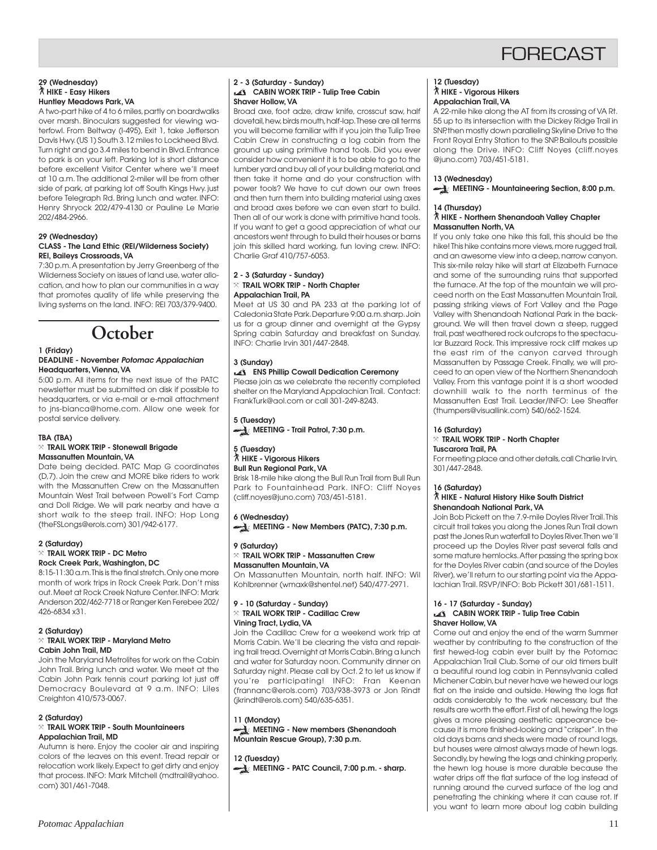## **FORFCAST**

#### **29 (Wednesday)** ` **HIKE - Easy Hikers Huntley Meadows Park, VA**

A two-part hike of 4 to 6 miles, partly on boardwalks over marsh. Binoculars suggested for viewing waterfowl. From Beltway (I-495), Exit 1, take Jefferson Davis Hwy. (US 1) South 3.12 miles to Lockheed Blvd. Turn right and go 3.4 miles to bend in Blvd. Entrance to park is on your left. Parking lot is short distance before excellent Visitor Center where we'll meet at 10 a.m. The additional 2-miler will be from other side of park, at parking lot off South Kings Hwy. just before Telegraph Rd. Bring lunch and water. INFO: Henry Shryock 202/479-4130 or Pauline Le Marie 202/484-2966.

#### **29 (Wednesday) CLASS - The Land Ethic (REI/Wilderness Society) REI, Baileys Crossroads, VA**

7:30 p.m. A presentation by Jerry Greenberg of the Wilderness Society on issues of land use, water allocation, and how to plan our communities in a way that promotes quality of life while preserving the living systems on the land. INFO: REI 703/379-9400.

## **October**

#### **1 (Friday) DEADLINE - November Potomac Appalachian Headquarters, Vienna, VA**

5:00 p.m. All items for the next issue of the PATC newsletter must be submitted on disk if possible to headquarters, or via e-mail or e-mail attachment to jns-bianca@home.com. Allow one week for postal service delivery.

#### **TBA (TBA)**

#### } **TRAIL WORK TRIP - Stonewall Brigade Massanutten Mountain, VA**

Date being decided. PATC Map G coordinates (D,7). Join the crew and MORE bike riders to work with the Massanutten Crew on the Massanutten Mountain West Trail between Powell's Fort Camp and Doll Ridge. We will park nearby and have a short walk to the steep trail. INFO: Hop Long (theFSLongs@erols.com) 301/942-6177.

#### **2 (Saturday)**

#### } **TRAIL WORK TRIP - DC Metro Rock Creek Park, Washington, DC**

8:15-11:30 a.m. This is the final stretch. Only one more month of work trips in Rock Creek Park. Don't miss out. Meet at Rock Creek Nature Center. INFO: Mark Anderson 202/462-7718 or Ranger Ken Ferebee 202/ 426-6834 x31.

#### **2 (Saturday)** } **TRAIL WORK TRIP - Maryland Metro Cabin John Trail, MD**

Join the Maryland Metrolites for work on the Cabin John Trail. Bring lunch and water. We meet at the Cabin John Park tennis court parking lot just off Democracy Boulevard at 9 a.m. INFO: Liles Creighton 410/573-0067.

#### **2 (Saturday)**

#### } **TRAIL WORK TRIP - South Mountaineers Appalachian Trail, MD**

Autumn is here. Enjoy the cooler air and inspiring colors of the leaves on this event. Tread repair or relocation work likely. Expect to get dirty and enjoy that process. INFO: Mark Mitchell (mdtrail@yahoo. com) 301/461-7048.

#### **2 - 3 (Saturday - Sunday) CABIN WORK TRIP - Tulip Tree Cabin Shaver Hollow, VA**

Broad axe, foot adze, draw knife, crosscut saw, half dovetail, hew, birds mouth, half-lap. These are all terms you will become familiar with if you join the Tulip Tree Cabin Crew in constructing a log cabin from the ground up using primitive hand tools. Did you ever consider how convenient it is to be able to go to the lumber yard and buy all of your building material, and then take it home and do your construction with power tools? We have to cut down our own trees and then turn them into building material using axes and broad axes before we can even start to build. Then all of our work is done with primitive hand tools. If you want to get a good appreciation of what our ancestors went through to build their houses or barns join this skilled hard working, fun loving crew. INFO: Charlie Graf 410/757-6053.

#### **2 - 3 (Saturday - Sunday)** } **TRAIL WORK TRIP - North Chapter Appalachian Trail, PA**

Meet at US 30 and PA 233 at the parking lot of Caledonia State Park. Departure 9:00 a.m. sharp. Join us for a group dinner and overnight at the Gypsy Spring cabin Saturday and breakfast on Sunday. INFO: Charlie Irvin 301/447-2848.

#### **3 (Sunday)**

#### **ENS Phillip Cowall Dedication Ceremony**

Please join as we celebrate the recently completed shelter on the Maryland Appalachian Trail. Contact: FrankTurk@aol.com or call 301-249-8243.

**5 (Tuesday) MEETING - Trail Patrol, 7:30 p.m.** 

#### **5 (Tuesday)** ` **HIKE - Vigorous Hikers Bull Run Regional Park, VA**

Brisk 18-mile hike along the Bull Run Trail from Bull Run Park to Fountainhead Park. INFO: Cliff Noyes (cliff.noyes@juno.com) 703/451-5181.

## **6 (Wednesday) MEETING - New Members (PATC), 7:30 p.m.**

#### **9 (Saturday)** } **TRAIL WORK TRIP - Massanutten Crew Massanutten Mountain, VA**

On Massanutten Mountain, north half. INFO: Wil Kohlbrenner (wmaxk@shentel.net) 540/477-2971.

#### **9 - 10 (Saturday - Sunday)** } **TRAIL WORK TRIP - Cadillac Crew**

**Vining Tract, Lydia, VA**

Join the Cadillac Crew for a weekend work trip at Morris Cabin. We'll be clearing the vista and repairing trail tread. Overnight at Morris Cabin. Bring a lunch and water for Saturday noon. Community dinner on Saturday night. Please call by Oct. 2 to let us know if you're participating! INFO: Fran Keenan (frannanc@erols.com) 703/938-3973 or Jon Rindt (jkrindt@erols.com) 540/635-6351.

**11 (Monday) MEETING - New members (Shenandoah Mountain Rescue Group), 7:30 p.m.**

**12 (Tuesday)**

**MEETING - PATC Council, 7:00 p.m. - sharp.** 

#### **12 (Tuesday)** ` **HIKE - Vigorous Hikers Appalachian Trail, VA**

A 22-mile hike along the AT from its crossing of VA Rt. 55 up to its intersection with the Dickey Ridge Trail in SNP, then mostly down paralleling Skyline Drive to the Front Royal Entry Station to the SNP. Bailouts possible along the Drive. INFO: Cliff Noyes (cliff.noyes @juno.com) 703/451-5181.

#### **13 (Wednesday)**

**MEETING - Mountaineering Section, 8:00 p.m.** 

#### **14 (Thursday)**

#### ` **HIKE - Northern Shenandoah Valley Chapter Massanutten North, VA**

If you only take one hike this fall, this should be the hike! This hike contains more views, more rugged trail, and an awesome view into a deep, narrow canyon. This six-mile relay hike will start at Elizabeth Furnace and some of the surrounding ruins that supported the furnace. At the top of the mountain we will proceed north on the East Massanutten Mountain Trail, passing striking views of Fort Valley and the Page Valley with Shenandoah National Park in the background. We will then travel down a steep, rugged trail, past weathered rock outcrops to the spectacular Buzzard Rock. This impressive rock cliff makes up the east rim of the canyon carved through Massanutten by Passage Creek. Finally, we will proceed to an open view of the Northern Shenandoah Valley. From this vantage point it is a short wooded downhill walk to the north terminus of the Massanutten East Trail. Leader/INFO: Lee Sheaffer (thumpers@visuallink.com) 540/662-1524.

#### **16 (Saturday)**

#### } **TRAIL WORK TRIP - North Chapter Tuscarora Trail, PA**

For meeting place and other details, call Charlie Irvin, 301/447-2848.

#### **16 (Saturday)**

#### ` **HIKE - Natural History Hike South District Shenandoah National Park, VA**

Join Bob Pickett on the 7.9-mile Doyles River Trail. This circuit trail takes you along the Jones Run Trail down past the Jones Run waterfall to Doyles River. Then we'll proceed up the Doyles River past several falls and some mature hemlocks. After passing the spring box for the Doyles River cabin (and source of the Doyles River), we'll return to our starting point via the Appalachian Trail. RSVP/INFO: Bob Pickett 301/681-1511.

#### **16 - 17 (Saturday - Sunday) CABIN WORK TRIP - Tulip Tree Cabin Shaver Hollow, VA**

Come out and enjoy the end of the warm Summer weather by contributing to the construction of the first hewed-log cabin ever built by the Potomac Appalachian Trail Club. Some of our old timers built a beautiful round log cabin in Pennsylvania called Michener Cabin, but never have we hewed our logs flat on the inside and outside. Hewing the logs flat adds considerably to the work necessary, but the results are worth the effort. First of all, hewing the logs gives a more pleasing aesthetic appearance because it is more finished-looking and "crisper". In the old days barns and sheds were made of round logs, but houses were almost always made of hewn logs. Secondly, by hewing the logs and chinking properly, the hewn log house is more durable because the water drips off the flat surface of the log instead of running around the curved surface of the log and penetrating the chinking where it can cause rot. If you want to learn more about log cabin building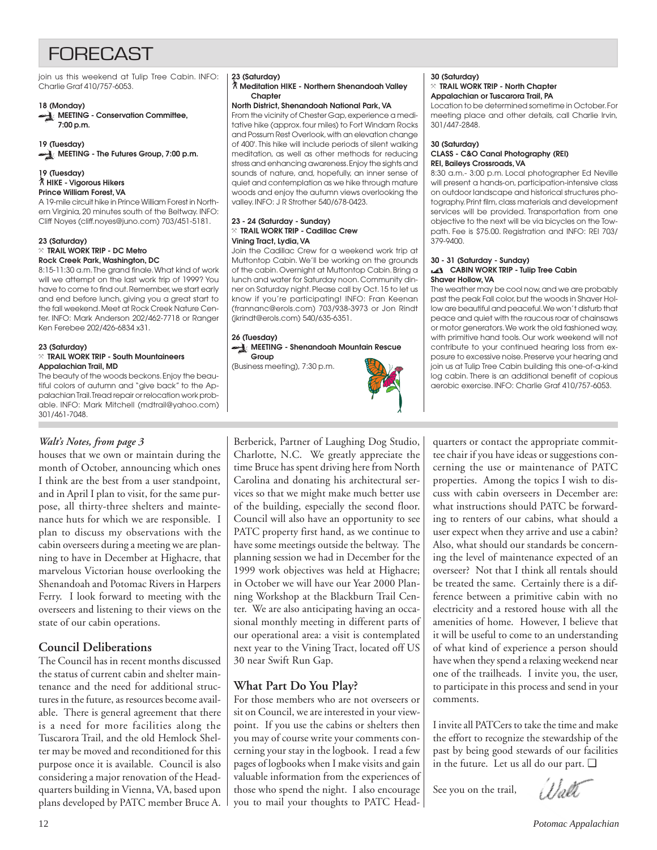## **FORFCAST**

join us this weekend at Tulip Tree Cabin. INFO: Charlie Graf 410/757-6053.

#### **18 (Monday)**

**MEETING - Conservation Committee, 7:00 p.m.**

**19 (Tuesday) MEETING - The Futures Group, 7:00 p.m.** 

#### **19 (Tuesday)** ` **HIKE - Vigorous Hikers Prince William Forest, VA**

A 19-mile circuit hike in Prince William Forest in Northern Virginia, 20 minutes south of the Beltway. INFO: Cliff Noyes (cliff.noyes@juno.com) 703/451-5181.

#### **23 (Saturday)** } **TRAIL WORK TRIP - DC Metro Rock Creek Park, Washington, DC**

8:15-11:30 a.m. The grand finale. What kind of work will we attempt on the last work trip of 1999? You have to come to find out. Remember, we start early and end before lunch, giving you a great start to the fall weekend. Meet at Rock Creek Nature Center. INFO: Mark Anderson 202/462-7718 or Ranger Ken Ferebee 202/426-6834 x31.

#### **23 (Saturday)**

#### } **TRAIL WORK TRIP - South Mountaineers Appalachian Trail, MD**

The beauty of the woods beckons. Enjoy the beautiful colors of autumn and "give back" to the Appalachian Trail. Tread repair or relocation work probable. INFO: Mark Mitchell (mdtrail@yahoo.com) 301/461-7048.

### *Walt's Notes, from page 3*

houses that we own or maintain during the month of October, announcing which ones I think are the best from a user standpoint, and in April I plan to visit, for the same purpose, all thirty-three shelters and maintenance huts for which we are responsible. I plan to discuss my observations with the cabin overseers during a meeting we are planning to have in December at Highacre, that marvelous Victorian house overlooking the Shenandoah and Potomac Rivers in Harpers Ferry. I look forward to meeting with the overseers and listening to their views on the state of our cabin operations.

## **Council Deliberations**

The Council has in recent months discussed the status of current cabin and shelter maintenance and the need for additional structures in the future, as resources become available. There is general agreement that there is a need for more facilities along the Tuscarora Trail, and the old Hemlock Shelter may be moved and reconditioned for this purpose once it is available. Council is also considering a major renovation of the Headquarters building in Vienna, VA, based upon plans developed by PATC member Bruce A.

#### **23 (Saturday)**

#### ` **Meditation HIKE - Northern Shenandoah Valley Chapter**

#### **North District, Shenandoah National Park, VA**

From the vicinity of Chester Gap, experience a meditative hike (approx. four miles) to Fort Windam Rocks and Possum Rest Overlook, with an elevation change of 400'. This hike will include periods of silent walking meditation, as well as other methods for reducing stress and enhancing awareness. Enjoy the sights and sounds of nature, and, hopefully, an inner sense of quiet and contemplation as we hike through mature woods and enjoy the autumn views overlooking the valley. INFO: J R Strother 540/678-0423.

#### **23 - 24 (Saturday - Sunday)** } **TRAIL WORK TRIP - Cadillac Crew Vining Tract, Lydia, VA**

Join the Cadillac Crew for a weekend work trip at Muttontop Cabin. We'll be working on the grounds of the cabin. Overnight at Muttontop Cabin. Bring a lunch and water for Saturday noon. Community dinner on Saturday night. Please call by Oct. 15 to let us know if you're participating! INFO: Fran Keenan (frannanc@erols.com) 703/938-3973 or Jon Rindt (jkrindt@erols.com) 540/635-6351.

#### **26 (Tuesday) MEETING - Shenandoah Mountain Rescue Group**

(Business meeting), 7:30 p.m.



Berberick, Partner of Laughing Dog Studio, Charlotte, N.C. We greatly appreciate the time Bruce has spent driving here from North Carolina and donating his architectural services so that we might make much better use of the building, especially the second floor. Council will also have an opportunity to see PATC property first hand, as we continue to have some meetings outside the beltway. The planning session we had in December for the 1999 work objectives was held at Highacre; in October we will have our Year 2000 Planning Workshop at the Blackburn Trail Center. We are also anticipating having an occasional monthly meeting in different parts of our operational area: a visit is contemplated next year to the Vining Tract, located off US 30 near Swift Run Gap.

## **What Part Do You Play?**

For those members who are not overseers or sit on Council, we are interested in your viewpoint. If you use the cabins or shelters then you may of course write your comments concerning your stay in the logbook. I read a few pages of logbooks when I make visits and gain valuable information from the experiences of those who spend the night. I also encourage you to mail your thoughts to PATC Head-

#### **30 (Saturday)** } **TRAIL WORK TRIP - North Chapter**

## **Appalachian or Tuscarora Trail, PA**

Location to be determined sometime in October. For meeting place and other details, call Charlie Irvin, 301/447-2848.

#### **30 (Saturday)**

#### **CLASS - C&O Canal Photography (REI) REI, Baileys Crossroads, VA**

8:30 a.m.- 3:00 p.m. Local photographer Ed Neville will present a hands-on, participation-intensive class on outdoor landscape and historical structures photography. Print film, class materials and development services will be provided. Transportation from one objective to the next will be via bicycles on the Towpath. Fee is \$75.00. Registration and INFO: REI 703/ 379-9400.

#### **30 - 31 (Saturday - Sunday) CABIN WORK TRIP - Tulip Tree Cabin Shaver Hollow, VA**

The weather may be cool now, and we are probably past the peak Fall color, but the woods in Shaver Hollow are beautiful and peaceful. We won't disturb that peace and quiet with the raucous roar of chainsaws or motor generators. We work the old fashioned way, with primitive hand tools. Our work weekend will not contribute to your continued hearing loss from exposure to excessive noise. Preserve your hearing and join us at Tulip Tree Cabin building this one-of-a-kind log cabin. There is an additional benefit of copious aerobic exercise. INFO: Charlie Graf 410/757-6053.

quarters or contact the appropriate committee chair if you have ideas or suggestions concerning the use or maintenance of PATC properties. Among the topics I wish to discuss with cabin overseers in December are: what instructions should PATC be forwarding to renters of our cabins, what should a user expect when they arrive and use a cabin? Also, what should our standards be concerning the level of maintenance expected of an overseer? Not that I think all rentals should be treated the same. Certainly there is a difference between a primitive cabin with no electricity and a restored house with all the amenities of home. However, I believe that it will be useful to come to an understanding of what kind of experience a person should have when they spend a relaxing weekend near one of the trailheads. I invite you, the user, to participate in this process and send in your comments.

I invite all PATCers to take the time and make the effort to recognize the stewardship of the past by being good stewards of our facilities in the future. Let us all do our part. ❑

See you on the trail,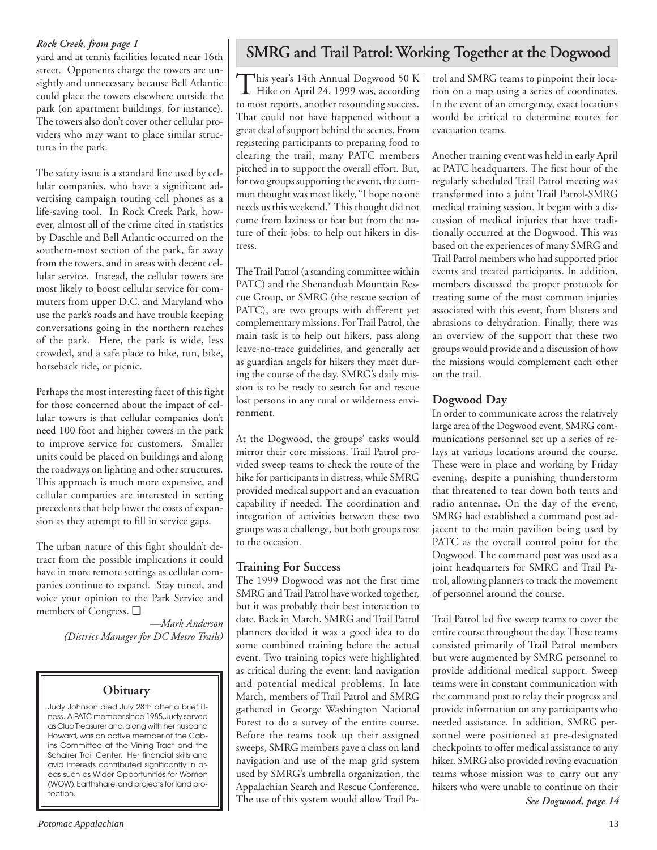### *Rock Creek, from page 1*

yard and at tennis facilities located near 16th street. Opponents charge the towers are unsightly and unnecessary because Bell Atlantic could place the towers elsewhere outside the park (on apartment buildings, for instance). The towers also don't cover other cellular providers who may want to place similar structures in the park.

The safety issue is a standard line used by cellular companies, who have a significant advertising campaign touting cell phones as a life-saving tool. In Rock Creek Park, however, almost all of the crime cited in statistics by Daschle and Bell Atlantic occurred on the southern-most section of the park, far away from the towers, and in areas with decent cellular service. Instead, the cellular towers are most likely to boost cellular service for commuters from upper D.C. and Maryland who use the park's roads and have trouble keeping conversations going in the northern reaches of the park. Here, the park is wide, less crowded, and a safe place to hike, run, bike, horseback ride, or picnic.

Perhaps the most interesting facet of this fight for those concerned about the impact of cellular towers is that cellular companies don't need 100 foot and higher towers in the park to improve service for customers. Smaller units could be placed on buildings and along the roadways on lighting and other structures. This approach is much more expensive, and cellular companies are interested in setting precedents that help lower the costs of expansion as they attempt to fill in service gaps.

The urban nature of this fight shouldn't detract from the possible implications it could have in more remote settings as cellular companies continue to expand. Stay tuned, and voice your opinion to the Park Service and members of Congress. ❑

> *—Mark Anderson (District Manager for DC Metro Trails)*

## **Obituary**

Judy Johnson died July 28th after a brief illness. A PATC member since 1985, Judy served as Club Treasurer and, along with her husband Howard, was an active member of the Cabins Committee at the Vining Tract and the Schairer Trail Center. Her financial skills and avid interests contributed significantly in areas such as Wider Opportunities for Women (WOW), Earthshare, and projects for land protection.

## **SMRG and Trail Patrol: Working Together at the Dogwood**

This year's 14th Annual Dogwood 50 K Hike on April 24, 1999 was, according to most reports, another resounding success. That could not have happened without a great deal of support behind the scenes. From registering participants to preparing food to clearing the trail, many PATC members pitched in to support the overall effort. But, for two groups supporting the event, the common thought was most likely, "I hope no one needs us this weekend." This thought did not come from laziness or fear but from the nature of their jobs: to help out hikers in distress.

The Trail Patrol (a standing committee within PATC) and the Shenandoah Mountain Rescue Group, or SMRG (the rescue section of PATC), are two groups with different yet complementary missions. For Trail Patrol, the main task is to help out hikers, pass along leave-no-trace guidelines, and generally act as guardian angels for hikers they meet during the course of the day. SMRG's daily mission is to be ready to search for and rescue lost persons in any rural or wilderness environment.

At the Dogwood, the groups' tasks would mirror their core missions. Trail Patrol provided sweep teams to check the route of the hike for participants in distress, while SMRG provided medical support and an evacuation capability if needed. The coordination and integration of activities between these two groups was a challenge, but both groups rose to the occasion.

## **Training For Success**

The 1999 Dogwood was not the first time SMRG and Trail Patrol have worked together, but it was probably their best interaction to date. Back in March, SMRG and Trail Patrol planners decided it was a good idea to do some combined training before the actual event. Two training topics were highlighted as critical during the event: land navigation and potential medical problems. In late March, members of Trail Patrol and SMRG gathered in George Washington National Forest to do a survey of the entire course. Before the teams took up their assigned sweeps, SMRG members gave a class on land navigation and use of the map grid system used by SMRG's umbrella organization, the Appalachian Search and Rescue Conference. The use of this system would allow Trail Patrol and SMRG teams to pinpoint their location on a map using a series of coordinates. In the event of an emergency, exact locations would be critical to determine routes for evacuation teams.

Another training event was held in early April at PATC headquarters. The first hour of the regularly scheduled Trail Patrol meeting was transformed into a joint Trail Patrol-SMRG medical training session. It began with a discussion of medical injuries that have traditionally occurred at the Dogwood. This was based on the experiences of many SMRG and Trail Patrol members who had supported prior events and treated participants. In addition, members discussed the proper protocols for treating some of the most common injuries associated with this event, from blisters and abrasions to dehydration. Finally, there was an overview of the support that these two groups would provide and a discussion of how the missions would complement each other on the trail.

## **Dogwood Day**

In order to communicate across the relatively large area of the Dogwood event, SMRG communications personnel set up a series of relays at various locations around the course. These were in place and working by Friday evening, despite a punishing thunderstorm that threatened to tear down both tents and radio antennae. On the day of the event, SMRG had established a command post adjacent to the main pavilion being used by PATC as the overall control point for the Dogwood. The command post was used as a joint headquarters for SMRG and Trail Patrol, allowing planners to track the movement of personnel around the course.

Trail Patrol led five sweep teams to cover the entire course throughout the day. These teams consisted primarily of Trail Patrol members but were augmented by SMRG personnel to provide additional medical support. Sweep teams were in constant communication with the command post to relay their progress and provide information on any participants who needed assistance. In addition, SMRG personnel were positioned at pre-designated checkpoints to offer medical assistance to any hiker. SMRG also provided roving evacuation teams whose mission was to carry out any hikers who were unable to continue on their

*See Dogwood, page 14*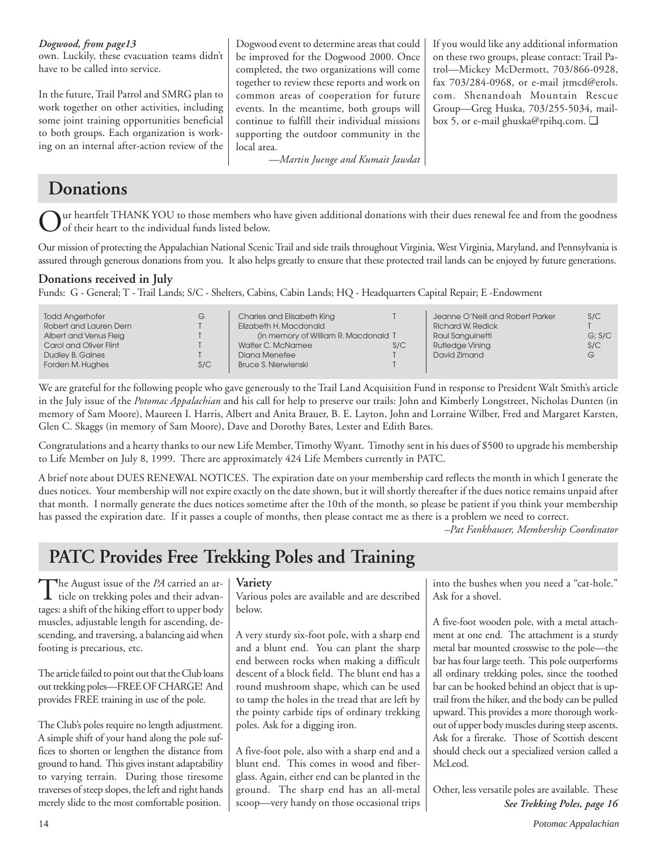| Dogwood, from page13<br>own. Luckily, these evacuation teams didn't<br>have to be called into service.                                                                                                                                      | Dogwood event to determine areas that could<br>be improved for the Dogwood 2000. Once<br>completed, the two organizations will come<br>together to review these reports and work on                                                | If you would like any additional information<br>on these two groups, please contact: Trail Pa-<br>trol-Mickey McDermott, 703/866-0928,<br>fax 703/284-0968, or e-mail jtmcd@erols. |
|---------------------------------------------------------------------------------------------------------------------------------------------------------------------------------------------------------------------------------------------|------------------------------------------------------------------------------------------------------------------------------------------------------------------------------------------------------------------------------------|------------------------------------------------------------------------------------------------------------------------------------------------------------------------------------|
| In the future, Trail Patrol and SMRG plan to<br>work together on other activities, including<br>some joint training opportunities beneficial<br>to both groups. Each organization is work-<br>ing on an internal after-action review of the | common areas of cooperation for future<br>events. In the meantime, both groups will<br>continue to fulfill their individual missions<br>supporting the outdoor community in the<br>local area.<br>-Martin Juenge and Kumait Jawdat | com. Shenandoah Mountain Rescue<br>Group-Greg Huska, 703/255-5034, mail-<br>box 5, or e-mail ghuska@rpihq.com. $\Box$                                                              |

## **Donations**

ur heartfelt THANK YOU to those members who have given additional donations with their dues renewal fee and from the goodness of their heart to the individual funds listed below.

Our mission of protecting the Appalachian National Scenic Trail and side trails throughout Virginia, West Virginia, Maryland, and Pennsylvania is assured through generous donations from you. It also helps greatly to ensure that these protected trail lands can be enjoyed by future generations.

## **Donations received in July**

Funds: G - General; T - Trail Lands; S/C - Shelters, Cabins, Cabin Lands; HQ - Headquarters Capital Repair; E -Endowment

| <b>Todd Angerhofer</b> | G   | Charles and Elisabeth King           |     | Jeanne O'Neill and Robert Parker | S/C    |
|------------------------|-----|--------------------------------------|-----|----------------------------------|--------|
| Robert and Lauren Dern |     | Elizabeth H. Macdonald               |     | <b>Richard W. Redick</b>         |        |
| Albert and Venus Fleig |     | (in memory of William R. Macdonald T |     | Raul Sanguinetti                 | G: S/C |
| Carol and Oliver Flint |     | Walter C. McNamee                    | S/C | <b>Rutledge Vining</b>           | S/C    |
| Dudley B. Gaines       |     | Diana Menefee                        |     | David Zimand                     | G      |
| Forden M. Hughes       | S/C | <b>Bruce S. Nierwienski</b>          |     |                                  |        |
|                        |     |                                      |     |                                  |        |

We are grateful for the following people who gave generously to the Trail Land Acquisition Fund in response to President Walt Smith's article in the July issue of the *Potomac Appalachian* and his call for help to preserve our trails: John and Kimberly Longstreet, Nicholas Dunten (in memory of Sam Moore), Maureen I. Harris, Albert and Anita Brauer, B. E. Layton, John and Lorraine Wilber, Fred and Margaret Karsten, Glen C. Skaggs (in memory of Sam Moore), Dave and Dorothy Bates, Lester and Edith Bates.

Congratulations and a hearty thanks to our new Life Member, Timothy Wyant. Timothy sent in his dues of \$500 to upgrade his membership to Life Member on July 8, 1999. There are approximately 424 Life Members currently in PATC.

A brief note about DUES RENEWAL NOTICES. The expiration date on your membership card reflects the month in which I generate the dues notices. Your membership will not expire exactly on the date shown, but it will shortly thereafter if the dues notice remains unpaid after that month. I normally generate the dues notices sometime after the 10th of the month, so please be patient if you think your membership has passed the expiration date. If it passes a couple of months, then please contact me as there is a problem we need to correct.

*–Pat Fankhauser, Membership Coordinator*

## **PATC Provides Free Trekking Poles and Training**

The August issue of the *PA* carried an article on trekking poles and their advantages: a shift of the hiking effort to upper body muscles, adjustable length for ascending, descending, and traversing, a balancing aid when footing is precarious, etc.

The article failed to point out that the Club loans out trekking poles—FREE OF CHARGE! And provides FREE training in use of the pole.

The Club's poles require no length adjustment. A simple shift of your hand along the pole suffices to shorten or lengthen the distance from ground to hand. This gives instant adaptability to varying terrain. During those tiresome traverses of steep slopes, the left and right hands merely slide to the most comfortable position.

### **Variety**

Various poles are available and are described below.

A very sturdy six-foot pole, with a sharp end and a blunt end. You can plant the sharp end between rocks when making a difficult descent of a block field. The blunt end has a round mushroom shape, which can be used to tamp the holes in the tread that are left by the pointy carbide tips of ordinary trekking poles. Ask for a digging iron.

A five-foot pole, also with a sharp end and a blunt end. This comes in wood and fiberglass. Again, either end can be planted in the ground. The sharp end has an all-metal scoop—very handy on those occasional trips

into the bushes when you need a "cat-hole." Ask for a shovel.

A five-foot wooden pole, with a metal attachment at one end. The attachment is a sturdy metal bar mounted crosswise to the pole—the bar has four large teeth. This pole outperforms all ordinary trekking poles, since the toothed bar can be hooked behind an object that is uptrail from the hiker, and the body can be pulled upward. This provides a more thorough workout of upper body muscles during steep ascents. Ask for a firerake. Those of Scottish descent should check out a specialized version called a McLeod.

Other, less versatile poles are available. These *See Trekking Poles, page 16*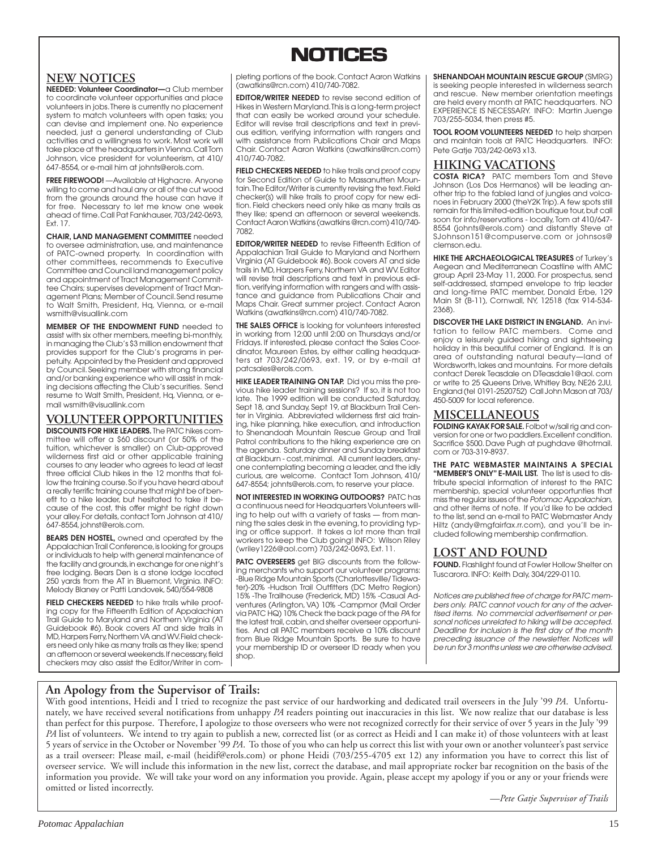## **NOTICES NOTICES**

## **NEW NOTICES**

**NEEDED: Volunteer Coordinator—**a Club member to coordinate volunteer opportunities and place volunteers in jobs. There is currently no placement system to match volunteers with open tasks; you can devise and implement one. No experience needed, just a general understanding of Club activities and a willingness to work. Most work will take place at the headquarters in Vienna. Call Tom Johnson, vice president for volunteerism, at 410/ 647-8554, or e-mail him at johnts@erols.com.

**FREE FIREWOOD!** —Available at Highacre. Anyone willing to come and haul any or all of the cut wood from the grounds around the house can have it for free. Necessary to let me know one week ahead of time. Call Pat Fankhauser, 703/242-0693, Ext. 17.

**CHAIR, LAND MANAGEMENT COMMITTEE** needed to oversee administration, use, and maintenance of PATC-owned property. In coordination with other committees, recommends to Executive Committee and Council land management policy and appointment of Tract Management Committee Chairs; supervises development of Tract Management Plans; Member of Council. Send resume to Walt Smith, President, Hq, Vienna, or e-mail wsmith@visuallink.com

**MEMBER OF THE ENDOWMENT FUND** needed to assist with six other members, meeting bi-monthly, in managing the Club's \$3 million endowment that provides support for the Club's programs in perpetuity. Appointed by the President and approved by Council. Seeking member with strong financial and/or banking experience who will assist in making decisions affecting the Club's securities. Send resume to Walt Smith, President, Hq, Vienna, or email wsmith@visuallink.com

**VOLUNTEER OPPORTUNITIES DISCOUNTS FOR HIKE LEADERS.** The PATC hikes committee will offer a \$60 discount (or 50% of the tuition, whichever is smaller) on Club-approved wilderness first aid or other applicable training courses to any leader who agrees to lead at least three official Club hikes in the 12 months that follow the training course. So if you have heard about a really terrific training course that might be of benefit to a hike leader, but hesitated to take it because of the cost, this offer might be right down your alley. For details, contact Tom Johnson at 410/ 647-8554, johnst@erols.com.

**BEARS DEN HOSTEL,** owned and operated by the Appalachian Trail Conference, is looking for groups or individuals to help with general maintenance of the facility and grounds, in exchange for one night's free lodging. Bears Den is a stone lodge located 250 yards from the AT in Bluemont, Virginia. INFO: Melody Blaney or Patti Landovek, 540/554-9808

FIELD CHECKERS NEEDED to hike trails while proofing copy for the Fifteenth Edition of Appalachian Trail Guide to Maryland and Northern Virginia (AT Guidebook #6). Book covers AT and side trails in MD, Harpers Ferry, Northern VA and WV. Field checkers need only hike as many trails as they like; spend an afternoon or several weekends. If necessary, field checkers may also assist the Editor/Writer in completing portions of the book. Contact Aaron Watkins (awatkins@rcn.com) 410/740-7082.

**EDITOR/WRITER NEEDED** to revise second edition of Hikes in Western Maryland. This is a long-term project that can easily be worked around your schedule. Editor will revise trail descriptions and text in previous edition, verifying information with rangers and with assistance from Publications Chair and Maps Chair. Contact Aaron Watkins (awatkins@rcn.com) 410/740-7082.

**FIELD CHECKERS NEEDED** to hike trails and proof copy for Second Edition of Guide to Massanutten Mountain. The Editor/Writer is currently revising the text. Field checker(s) will hike trails to proof copy for new edition. Field checkers need only hike as many trails as they like; spend an afternoon or several weekends. Contact Aaron Watkins (awatkins @rcn.com) 410/740- 7082.

**EDITOR/WRITER NEEDED** to revise Fifteenth Edition of Appalachian Trail Guide to Maryland and Northern Virginia (AT Guidebook #6). Book covers AT and side trails in MD, Harpers Ferry, Northern VA and WV. Editor will revise trail descriptions and text in previous edition, verifying information with rangers and with assistance and guidance from Publications Chair and Maps Chair. Great summer project. Contact Aaron Watkins (awatkins@rcn.com) 410/740-7082.

**THE SALES OFFICE** is looking for volunteers interested in working from 12:00 until 2:00 on Thursdays and/or Fridays. If interested, please contact the Sales Coordinator, Maureen Estes, by either calling headquarters at 703/242/0693, ext. 19, or by e-mail at patcsales@erols.com.

**HIKE LEADER TRAINING ON TAP.** Did you miss the previous hike leader training sessions? If so, it is not too late. The 1999 edition will be conducted Saturday, Sept 18, and Sunday, Sept 19, at Blackburn Trail Center in Virginia. Abbreviated wilderness first aid training, hike planning, hike execution, and introduction to Shenandoah Mountain Rescue Group and Trail Patrol contributions to the hiking experience are on the agenda. Saturday dinner and Sunday breakfast at Blackburn - cost, minimal. All current leaders, anyone contemplating becoming a leader, and the idly curious, are welcome. Contact Tom Johnson, 410/ 647-8554; johnts@erols.com, to reserve your place.

**NOT INTERESTED IN WORKING OUTDOORS?** PATC has a continuous need for Headquarters Volunteers willing to help out with a variety of tasks — from manning the sales desk in the evening, to providing typing or office support. It takes a lot more than trail workers to keep the Club going! INFO: Wilson Riley (wriley1226@aol.com) 703/242-0693, Ext. 11.

**PATC OVERSEERS** get BIG discounts from the following merchants who support our volunteer programs: -Blue Ridge Mountain Sports (Charlottesville/ Tidewa-ter)-20% -Hudson Trail Outfitters (DC Metro Region) 15% -The Trailhouse (Frederick, MD) 15% -Casual Adventures (Arlington, VA) 10% -Campmor (Mail Order via PATC HQ) 10% Check the back page of the PA for the latest trail, cabin, and shelter overseer opportunities. And all PATC members receive a 10% discount from Blue Ridge Mountain Sports. Be sure to have your membership ID or overseer ID ready when you shop.

**SHENANDOAH MOUNTAIN RESCUE GROUP** (SMRG) is seeking people interested in wilderness search and rescue. New member orientation meetings are held every month at PATC headquarters. NO EXPERIENCE IS NECESSARY. INFO: Martin Juenge 703/255-5034, then press #5.

**TOOL ROOM VOLUNTEERS NEEDED** to help sharpen and maintain tools at PATC Headquarters. INFO: Pete Gatie 703/242-0693 x13.

## **HIKING VACATIONS**

**COSTA RICA?** PATC members Tom and Steve Johnson (Los Dos Hermanos) will be leading another trip to the fabled land of jungles and volcanoes in February 2000 (theY2K Trip). A few spots still remain for this limited-edition boutique tour, but call soon for info/reservations - locally, Tom at 410/647- 8554 (johnts@erols.com) and distantly Steve at SJohnson151@compuserve.com or johnsos@ clemson.edu.

**HIKE THE ARCHAEOLOGICAL TREASURES** of Turkey's Aegean and Mediterranean Coastline with AMC group April 23-May 11, 2000. For prospectus, send self-addressed, stamped envelope to trip leader and long-time PATC member, Donald Erbe, 129 Main St (B-11), Cornwall, NY, 12518 (fax 914-534- 2368).

**DISCOVER THE LAKE DISTRICT IN ENGLAND.** An invitation to fellow PATC members. Come and enjoy a leisurely guided hiking and sightseeing holiday in this beautiful corner of England. It is an area of outstanding natural beauty—land of Wordsworth, lakes and mountains. For more details contact Derek Teasdale on DTeasdale1@aol. com or write to 25 Queens Drive, Whitley Bay, NE26 2JU, England (tel 0191-2520752) Call John Mason at 703/ 450-5009 for local reference.

### **MISCELLANEOUS**

**FOLDING KAYAK FOR SALE.** Folbot w/sail rig and conversion for one or two paddlers. Excellent condition. Sacrifice \$500. Dave Pugh at pughdave @hotmail. com or 703-319-8937.

**THE PATC WEBMASTER MAINTAINS A SPECIAL "MEMBER'S ONLY" E-MAIL LIST.** The list is used to distribute special information of interest to the PATC membership, special volunteer opportunties that miss the regular issues of the Potomac Appalachian, and other items of note. If you'd like to be added to the list, send an e-mail to PATC Webmaster Andy Hiltz (andy@mgfairfax.rr.com), and you'll be included following membership confirmation.

### **LOST AND FOUND**

**FOUND.** Flashlight found at Fowler Hollow Shelter on Tuscarora. INFO: Keith Daly, 304/229-0110.

Notices are published free of charge for PATC members only. PATC cannot vouch for any of the advertised items. No commercial advertisement or personal notices unrelated to hiking will be accepted. Deadline for inclusion is the first day of the month preceding issuance of the newsletter. Notices will be run for 3 months unless we are otherwise advised.

## **An Apology from the Supervisor of Trails:**

With good intentions, Heidi and I tried to recognize the past service of our hardworking and dedicated trail overseers in the July '99 *PA*. Unfortunately, we have received several notifications from unhappy *PA* readers pointing out inaccuracies in this list. We now realize that our database is less than perfect for this purpose. Therefore, I apologize to those overseers who were not recognized correctly for their service of over 5 years in the July '99 *PA* list of volunteers. We intend to try again to publish a new, corrected list (or as correct as Heidi and I can make it) of those volunteers with at least 5 years of service in the October or November '99 *PA*. To those of you who can help us correct this list with your own or another volunteer's past service as a trail overseer: Please mail, e-mail (heidif@erols.com) or phone Heidi (703/255-4705 ext 12) any information you have to correct this list of overseer service. We will include this information in the new list, correct the database, and mail appropriate rocker bar recognition on the basis of the information you provide. We will take your word on any information you provide. Again, please accept my apology if you or any or your friends were omitted or listed incorrectly.

*—Pete Gatje Supervisor of Trails*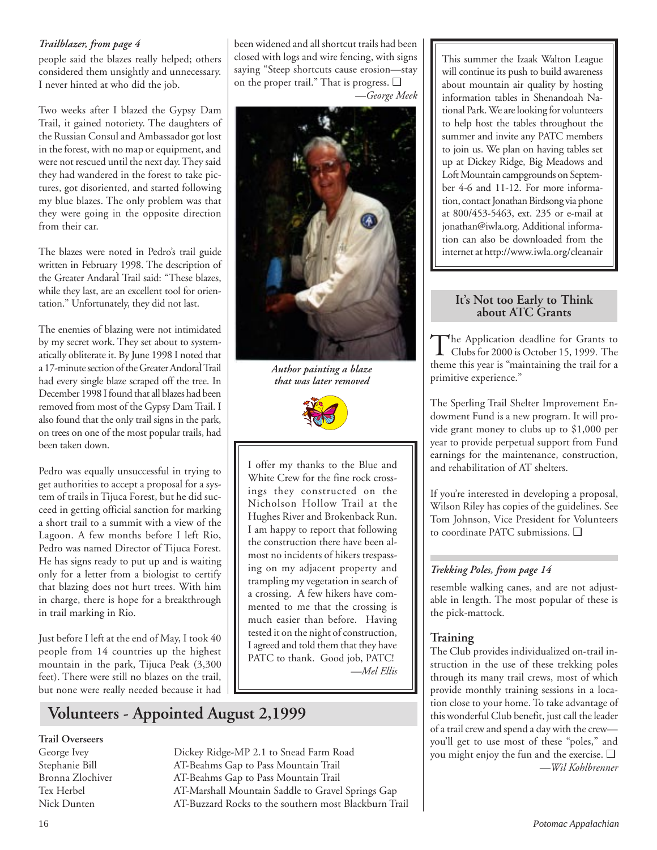### *Trailblazer, from page 4*

people said the blazes really helped; others considered them unsightly and unnecessary. I never hinted at who did the job.

Two weeks after I blazed the Gypsy Dam Trail, it gained notoriety. The daughters of the Russian Consul and Ambassador got lost in the forest, with no map or equipment, and were not rescued until the next day. They said they had wandered in the forest to take pictures, got disoriented, and started following my blue blazes. The only problem was that they were going in the opposite direction from their car.

The blazes were noted in Pedro's trail guide written in February 1998. The description of the Greater AndaraÌ Trail said: "These blazes, while they last, are an excellent tool for orientation." Unfortunately, they did not last.

The enemies of blazing were not intimidated by my secret work. They set about to systematically obliterate it. By June 1998 I noted that a 17-minute section of the Greater AndoraÌ Trail had every single blaze scraped off the tree. In December 1998 I found that all blazes had been removed from most of the Gypsy Dam Trail. I also found that the only trail signs in the park, on trees on one of the most popular trails, had been taken down.

Pedro was equally unsuccessful in trying to get authorities to accept a proposal for a system of trails in Tijuca Forest, but he did succeed in getting official sanction for marking a short trail to a summit with a view of the Lagoon. A few months before I left Rio, Pedro was named Director of Tijuca Forest. He has signs ready to put up and is waiting only for a letter from a biologist to certify that blazing does not hurt trees. With him in charge, there is hope for a breakthrough in trail marking in Rio.

Just before I left at the end of May, I took 40 people from 14 countries up the highest mountain in the park, Tijuca Peak (3,300 feet). There were still no blazes on the trail, but none were really needed because it had been widened and all shortcut trails had been closed with logs and wire fencing, with signs saying "Steep shortcuts cause erosion—stay on the proper trail." That is progress. ❑ *—George Meek*



*Author painting a blaze that was later removed*



I offer my thanks to the Blue and White Crew for the fine rock crossings they constructed on the Nicholson Hollow Trail at the Hughes River and Brokenback Run. I am happy to report that following the construction there have been almost no incidents of hikers trespassing on my adjacent property and trampling my vegetation in search of a crossing. A few hikers have commented to me that the crossing is much easier than before. Having tested it on the night of construction, I agreed and told them that they have PATC to thank. Good job, PATC! *—Mel Ellis*

This summer the Izaak Walton League will continue its push to build awareness about mountain air quality by hosting information tables in Shenandoah National Park. We are looking for volunteers to help host the tables throughout the summer and invite any PATC members to join us. We plan on having tables set up at Dickey Ridge, Big Meadows and Loft Mountain campgrounds on September 4-6 and 11-12. For more information, contact Jonathan Birdsong via phone at 800/453-5463, ext. 235 or e-mail at jonathan@iwla.org. Additional information can also be downloaded from the internet at http://www.iwla.org/cleanair

## **It's Not too Early to Think about ATC Grants**

The Application deadline for Grants to<br>Clubs for 2000 is October 15, 1999. The theme this year is "maintaining the trail for a primitive experience."

The Sperling Trail Shelter Improvement Endowment Fund is a new program. It will provide grant money to clubs up to \$1,000 per year to provide perpetual support from Fund earnings for the maintenance, construction, and rehabilitation of AT shelters.

If you're interested in developing a proposal, Wilson Riley has copies of the guidelines. See Tom Johnson, Vice President for Volunteers to coordinate PATC submissions. ❑

## *Trekking Poles, from page 14*

resemble walking canes, and are not adjustable in length. The most popular of these is the pick-mattock.

## **Training**

The Club provides individualized on-trail instruction in the use of these trekking poles through its many trail crews, most of which provide monthly training sessions in a location close to your home. To take advantage of this wonderful Club benefit, just call the leader of a trail crew and spend a day with the crew you'll get to use most of these "poles," and you might enjoy the fun and the exercise. ❑ *—Wil Kohlbrenner*

## **Volunteers - Appointed August 2,1999**

## **Trail Overseers**

George Ivey Dickey Ridge-MP 2.1 to Snead Farm Road Stephanie Bill AT-Beahms Gap to Pass Mountain Trail Bronna Zlochiver AT-Beahms Gap to Pass Mountain Trail Tex Herbel AT-Marshall Mountain Saddle to Gravel Springs Gap Nick Dunten AT-Buzzard Rocks to the southern most Blackburn Trail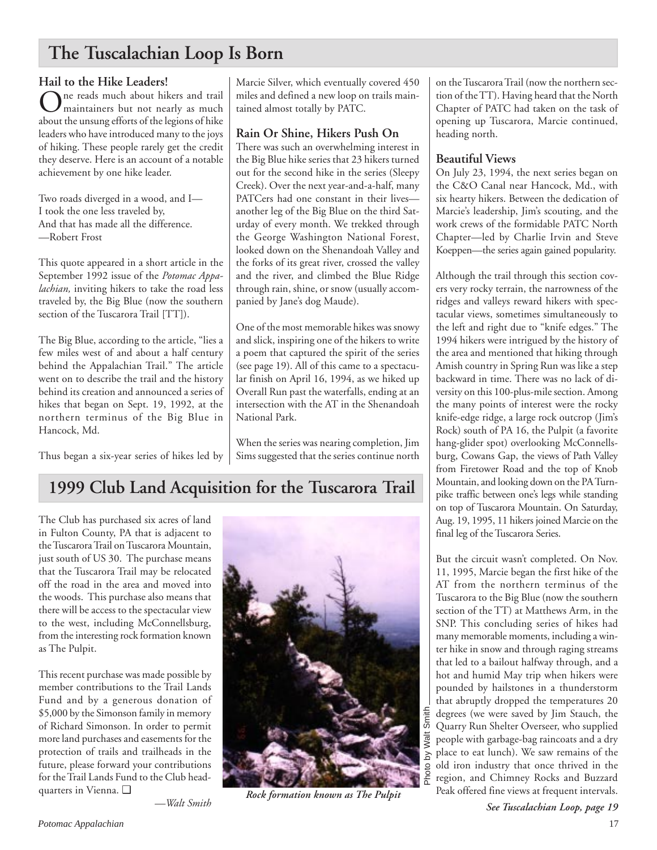## **The Tuscalachian Loop Is Born**

Hail t**o the Hike Leaders!**<br>The reads much about hikers and trail  $\sum_{\text{maintainers but not nearly as much}}^{\text{ne reads much about hikers and trail.}$ about the unsung efforts of the legions of hike leaders who have introduced many to the joys of hiking. These people rarely get the credit they deserve. Here is an account of a notable achievement by one hike leader.

Two roads diverged in a wood, and I— I took the one less traveled by, And that has made all the difference. —Robert Frost

This quote appeared in a short article in the September 1992 issue of the *Potomac Appalachian,* inviting hikers to take the road less traveled by, the Big Blue (now the southern section of the Tuscarora Trail [TT]).

The Big Blue, according to the article, "lies a few miles west of and about a half century behind the Appalachian Trail." The article went on to describe the trail and the history behind its creation and announced a series of hikes that began on Sept. 19, 1992, at the northern terminus of the Big Blue in Hancock, Md.

Thus began a six-year series of hikes led by

Marcie Silver, which eventually covered 450 miles and defined a new loop on trails maintained almost totally by PATC.

## **Rain Or Shine, Hikers Push On**

There was such an overwhelming interest in the Big Blue hike series that 23 hikers turned out for the second hike in the series (Sleepy Creek). Over the next year-and-a-half, many PATCers had one constant in their lives another leg of the Big Blue on the third Saturday of every month. We trekked through the George Washington National Forest, looked down on the Shenandoah Valley and the forks of its great river, crossed the valley and the river, and climbed the Blue Ridge through rain, shine, or snow (usually accompanied by Jane's dog Maude).

One of the most memorable hikes was snowy and slick, inspiring one of the hikers to write a poem that captured the spirit of the series (see page 19). All of this came to a spectacular finish on April 16, 1994, as we hiked up Overall Run past the waterfalls, ending at an intersection with the AT in the Shenandoah National Park.

When the series was nearing completion, Jim Sims suggested that the series continue north

## **1999 Club Land Acquisition for the Tuscarora Trail**

The Club has purchased six acres of land in Fulton County, PA that is adjacent to the Tuscarora Trail on Tuscarora Mountain, just south of US 30. The purchase means that the Tuscarora Trail may be relocated off the road in the area and moved into the woods. This purchase also means that there will be access to the spectacular view to the west, including McConnellsburg, from the interesting rock formation known as The Pulpit.

This recent purchase was made possible by member contributions to the Trail Lands Fund and by a generous donation of \$5,000 by the Simonson family in memory of Richard Simonson. In order to permit more land purchases and easements for the protection of trails and trailheads in the future, please forward your contributions for the Trail Lands Fund to the Club headquarters in Vienna. ❑



*Rock formation known as The Pulpit*

on the Tuscarora Trail (now the northern section of the TT). Having heard that the North Chapter of PATC had taken on the task of opening up Tuscarora, Marcie continued, heading north.

## **Beautiful Views**

On July 23, 1994, the next series began on the C&O Canal near Hancock, Md., with six hearty hikers. Between the dedication of Marcie's leadership, Jim's scouting, and the work crews of the formidable PATC North Chapter—led by Charlie Irvin and Steve Koeppen—the series again gained popularity.

Although the trail through this section covers very rocky terrain, the narrowness of the ridges and valleys reward hikers with spectacular views, sometimes simultaneously to the left and right due to "knife edges." The 1994 hikers were intrigued by the history of the area and mentioned that hiking through Amish country in Spring Run was like a step backward in time. There was no lack of diversity on this 100-plus-mile section. Among the many points of interest were the rocky knife-edge ridge, a large rock outcrop (Jim's Rock) south of PA 16, the Pulpit (a favorite hang-glider spot) overlooking McConnellsburg, Cowans Gap, the views of Path Valley from Firetower Road and the top of Knob Mountain, and looking down on the PA Turnpike traffic between one's legs while standing on top of Tuscarora Mountain. On Saturday, Aug. 19, 1995, 11 hikers joined Marcie on the final leg of the Tuscarora Series.

But the circuit wasn't completed. On Nov. 11, 1995, Marcie began the first hike of the AT from the northern terminus of the Tuscarora to the Big Blue (now the southern section of the TT) at Matthews Arm, in the SNP. This concluding series of hikes had many memorable moments, including a winter hike in snow and through raging streams that led to a bailout halfway through, and a hot and humid May trip when hikers were pounded by hailstones in a thunderstorm that abruptly dropped the temperatures 20 degrees (we were saved by Jim Stauch, the Quarry Run Shelter Overseer, who supplied people with garbage-bag raincoats and a dry place to eat lunch). We saw remains of the old iron industry that once thrived in the region, and Chimney Rocks and Buzzard Peak offered fine views at frequent intervals.

*See Tuscalachian Loop, page 19*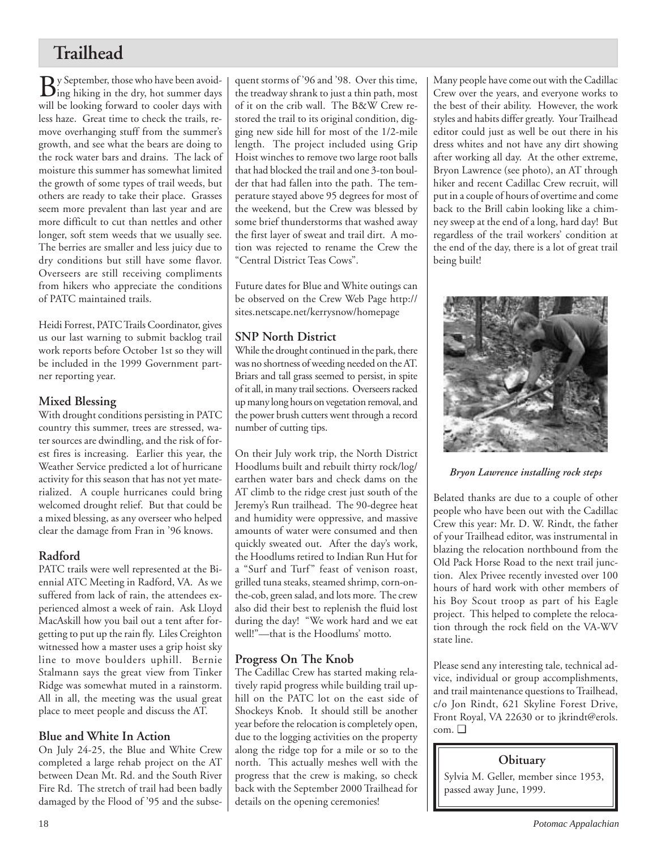## **Trailhead**

 $\mathbf{B}$ y September, those who have been avoid-<br>ing hiking in the dry, hot summer days will be looking forward to cooler days with less haze. Great time to check the trails, remove overhanging stuff from the summer's growth, and see what the bears are doing to the rock water bars and drains. The lack of moisture this summer has somewhat limited the growth of some types of trail weeds, but others are ready to take their place. Grasses seem more prevalent than last year and are more difficult to cut than nettles and other longer, soft stem weeds that we usually see. The berries are smaller and less juicy due to dry conditions but still have some flavor. Overseers are still receiving compliments from hikers who appreciate the conditions of PATC maintained trails.

Heidi Forrest, PATC Trails Coordinator, gives us our last warning to submit backlog trail work reports before October 1st so they will be included in the 1999 Government partner reporting year.

## **Mixed Blessing**

With drought conditions persisting in PATC country this summer, trees are stressed, water sources are dwindling, and the risk of forest fires is increasing. Earlier this year, the Weather Service predicted a lot of hurricane activity for this season that has not yet materialized. A couple hurricanes could bring welcomed drought relief. But that could be a mixed blessing, as any overseer who helped clear the damage from Fran in '96 knows.

## **Radford**

PATC trails were well represented at the Biennial ATC Meeting in Radford, VA. As we suffered from lack of rain, the attendees experienced almost a week of rain. Ask Lloyd MacAskill how you bail out a tent after forgetting to put up the rain fly. Liles Creighton witnessed how a master uses a grip hoist sky line to move boulders uphill. Bernie Stalmann says the great view from Tinker Ridge was somewhat muted in a rainstorm. All in all, the meeting was the usual great place to meet people and discuss the AT.

## **Blue and White In Action**

On July 24-25, the Blue and White Crew completed a large rehab project on the AT between Dean Mt. Rd. and the South River Fire Rd. The stretch of trail had been badly damaged by the Flood of '95 and the subse-

quent storms of '96 and '98. Over this time, the treadway shrank to just a thin path, most of it on the crib wall. The B&W Crew restored the trail to its original condition, digging new side hill for most of the 1/2-mile length. The project included using Grip Hoist winches to remove two large root balls that had blocked the trail and one 3-ton boulder that had fallen into the path. The temperature stayed above 95 degrees for most of the weekend, but the Crew was blessed by some brief thunderstorms that washed away the first layer of sweat and trail dirt. A motion was rejected to rename the Crew the "Central District Teas Cows".

Future dates for Blue and White outings can be observed on the Crew Web Page http:// sites.netscape.net/kerrysnow/homepage

## **SNP North District**

While the drought continued in the park, there was no shortness of weeding needed on the AT. Briars and tall grass seemed to persist, in spite of it all, in many trail sections. Overseers racked up many long hours on vegetation removal, and the power brush cutters went through a record number of cutting tips.

On their July work trip, the North District Hoodlums built and rebuilt thirty rock/log/ earthen water bars and check dams on the AT climb to the ridge crest just south of the Jeremy's Run trailhead. The 90-degree heat and humidity were oppressive, and massive amounts of water were consumed and then quickly sweated out. After the day's work, the Hoodlums retired to Indian Run Hut for a "Surf and Turf" feast of venison roast, grilled tuna steaks, steamed shrimp, corn-onthe-cob, green salad, and lots more. The crew also did their best to replenish the fluid lost during the day! "We work hard and we eat well!"—that is the Hoodlums' motto.

## **Progress On The Knob**

The Cadillac Crew has started making relatively rapid progress while building trail uphill on the PATC lot on the east side of Shockeys Knob. It should still be another year before the relocation is completely open, due to the logging activities on the property along the ridge top for a mile or so to the north. This actually meshes well with the progress that the crew is making, so check back with the September 2000 Trailhead for details on the opening ceremonies!

Many people have come out with the Cadillac Crew over the years, and everyone works to the best of their ability. However, the work styles and habits differ greatly. Your Trailhead editor could just as well be out there in his dress whites and not have any dirt showing after working all day. At the other extreme, Bryon Lawrence (see photo), an AT through hiker and recent Cadillac Crew recruit, will put in a couple of hours of overtime and come back to the Brill cabin looking like a chimney sweep at the end of a long, hard day! But regardless of the trail workers' condition at the end of the day, there is a lot of great trail being built!



*Bryon Lawrence installing rock steps*

Belated thanks are due to a couple of other people who have been out with the Cadillac Crew this year: Mr. D. W. Rindt, the father of your Trailhead editor, was instrumental in blazing the relocation northbound from the Old Pack Horse Road to the next trail junction. Alex Privee recently invested over 100 hours of hard work with other members of his Boy Scout troop as part of his Eagle project. This helped to complete the relocation through the rock field on the VA-WV state line.

Please send any interesting tale, technical advice, individual or group accomplishments, and trail maintenance questions to Trailhead, c/o Jon Rindt, 621 Skyline Forest Drive, Front Royal, VA 22630 or to jkrindt@erols. com. ❑

## **Obituary**

Sylvia M. Geller, member since 1953, passed away June, 1999.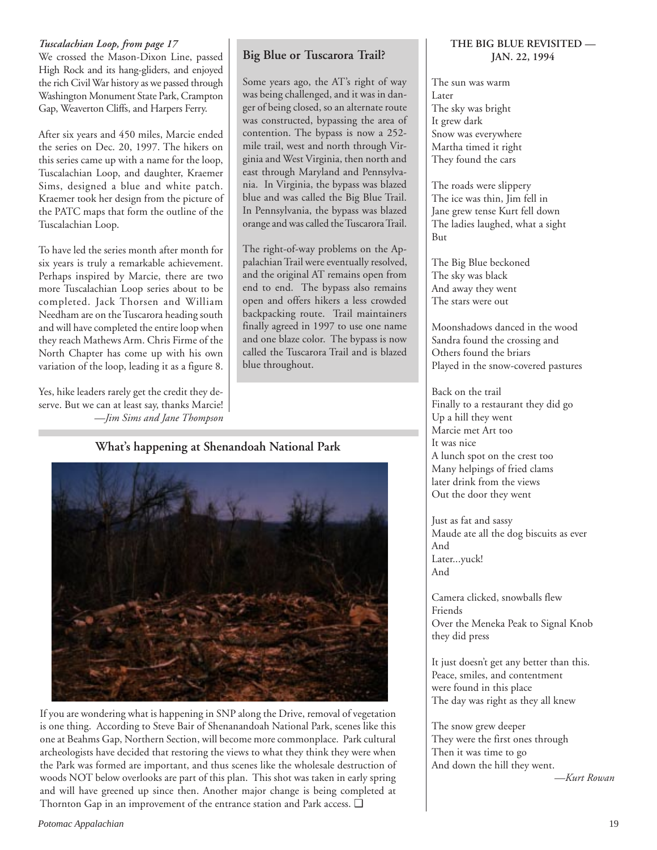### *Tuscalachian Loop, from page 17*

We crossed the Mason-Dixon Line, passed High Rock and its hang-gliders, and enjoyed the rich Civil War history as we passed through Washington Monument State Park, Crampton Gap, Weaverton Cliffs, and Harpers Ferry.

After six years and 450 miles, Marcie ended the series on Dec. 20, 1997. The hikers on this series came up with a name for the loop, Tuscalachian Loop, and daughter, Kraemer Sims, designed a blue and white patch. Kraemer took her design from the picture of the PATC maps that form the outline of the Tuscalachian Loop.

To have led the series month after month for six years is truly a remarkable achievement. Perhaps inspired by Marcie, there are two more Tuscalachian Loop series about to be completed. Jack Thorsen and William Needham are on the Tuscarora heading south and will have completed the entire loop when they reach Mathews Arm. Chris Firme of the North Chapter has come up with his own variation of the loop, leading it as a figure 8.

Yes, hike leaders rarely get the credit they deserve. But we can at least say, thanks Marcie! *—Jim Sims and Jane Thompson*

## **Big Blue or Tuscarora Trail?**

Some years ago, the AT's right of way was being challenged, and it was in danger of being closed, so an alternate route was constructed, bypassing the area of contention. The bypass is now a 252 mile trail, west and north through Virginia and West Virginia, then north and east through Maryland and Pennsylvania. In Virginia, the bypass was blazed blue and was called the Big Blue Trail. In Pennsylvania, the bypass was blazed orange and was called the Tuscarora Trail.

The right-of-way problems on the Appalachian Trail were eventually resolved, and the original AT remains open from end to end. The bypass also remains open and offers hikers a less crowded backpacking route. Trail maintainers finally agreed in 1997 to use one name and one blaze color. The bypass is now called the Tuscarora Trail and is blazed blue throughout.

### **What's happening at Shenandoah National Park**



If you are wondering what is happening in SNP along the Drive, removal of vegetation is one thing. According to Steve Bair of Shenanandoah National Park, scenes like this one at Beahms Gap, Northern Section, will become more commonplace. Park cultural archeologists have decided that restoring the views to what they think they were when the Park was formed are important, and thus scenes like the wholesale destruction of woods NOT below overlooks are part of this plan. This shot was taken in early spring and will have greened up since then. Another major change is being completed at Thornton Gap in an improvement of the entrance station and Park access. ❑

### **THE BIG BLUE REVISITED — JAN. 22, 1994**

The sun was warm Later The sky was bright It grew dark Snow was everywhere Martha timed it right They found the cars

The roads were slippery The ice was thin, Jim fell in Jane grew tense Kurt fell down The ladies laughed, what a sight But

The Big Blue beckoned The sky was black And away they went The stars were out

Moonshadows danced in the wood Sandra found the crossing and Others found the briars Played in the snow-covered pastures

Back on the trail Finally to a restaurant they did go Up a hill they went Marcie met Art too It was nice A lunch spot on the crest too Many helpings of fried clams later drink from the views Out the door they went

Just as fat and sassy Maude ate all the dog biscuits as ever And Later...yuck! And

Camera clicked, snowballs flew Friends Over the Meneka Peak to Signal Knob they did press

It just doesn't get any better than this. Peace, smiles, and contentment were found in this place The day was right as they all knew

The snow grew deeper They were the first ones through Then it was time to go And down the hill they went.

*—Kurt Rowan*